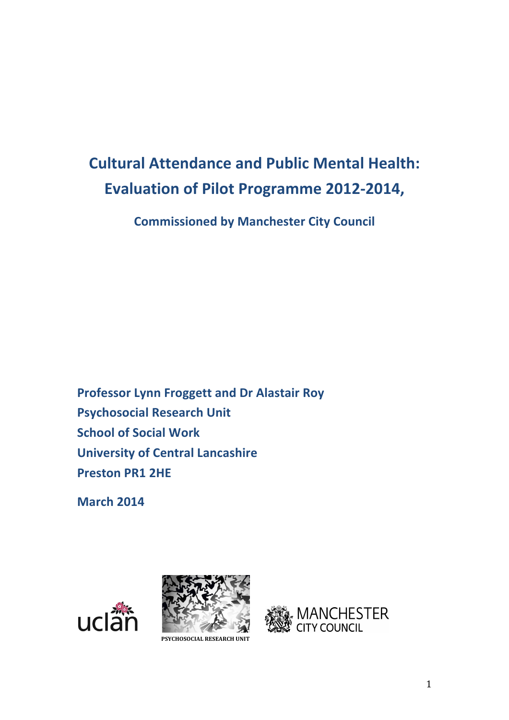# **Cultural Attendance and Public Mental Health: Evaluation of Pilot Programme 2012-2014,**

**Commissioned by Manchester City Council**

**Professor Lynn Froggett and Dr Alastair Roy Psychosocial Research Unit School of Social Work University of Central Lancashire Preston PR1 2HE**

**March 2014**





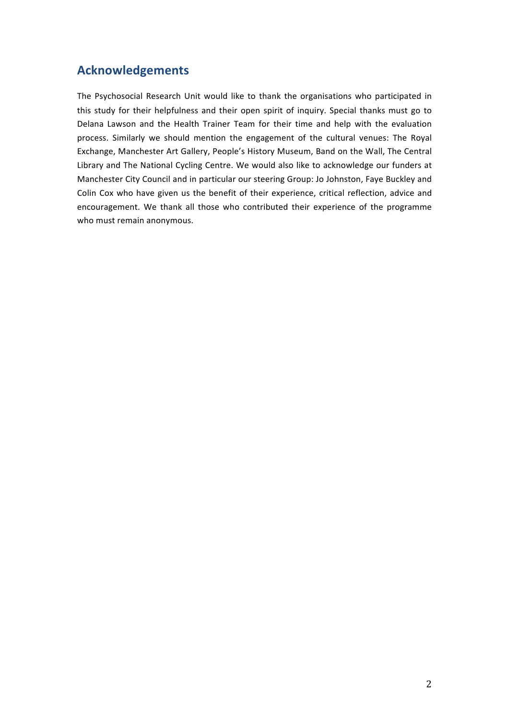# **Acknowledgements**

The Psychosocial Research Unit would like to thank the organisations who participated in this study for their helpfulness and their open spirit of inquiry. Special thanks must go to Delana Lawson and the Health Trainer Team for their time and help with the evaluation process. Similarly we should mention the engagement of the cultural venues: The Royal Exchange, Manchester Art Gallery, People's History Museum, Band on the Wall, The Central Library and The National Cycling Centre. We would also like to acknowledge our funders at Manchester City Council and in particular our steering Group: Jo Johnston, Faye Buckley and Colin Cox who have given us the benefit of their experience, critical reflection, advice and encouragement. We thank all those who contributed their experience of the programme who must remain anonymous.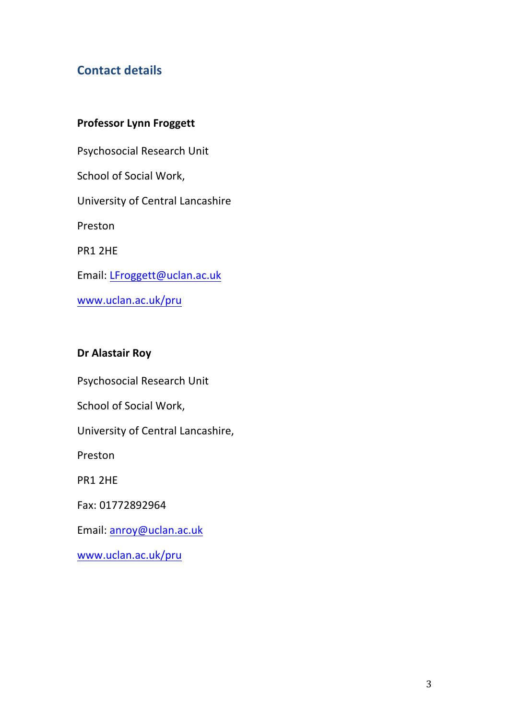# **Contact details**

# **Professor Lynn Froggett**

Psychosocial Research Unit School of Social Work, University of Central Lancashire Preston PR1 2HE Email: LFroggett@uclan.ac.uk www.uclan.ac.uk/pru

# **Dr Alastair Roy**

Psychosocial Research Unit School of Social Work, University of Central Lancashire, Preston PR1 2HE

Fax: 01772892964 

Email: anroy@uclan.ac.uk

www.uclan.ac.uk/pru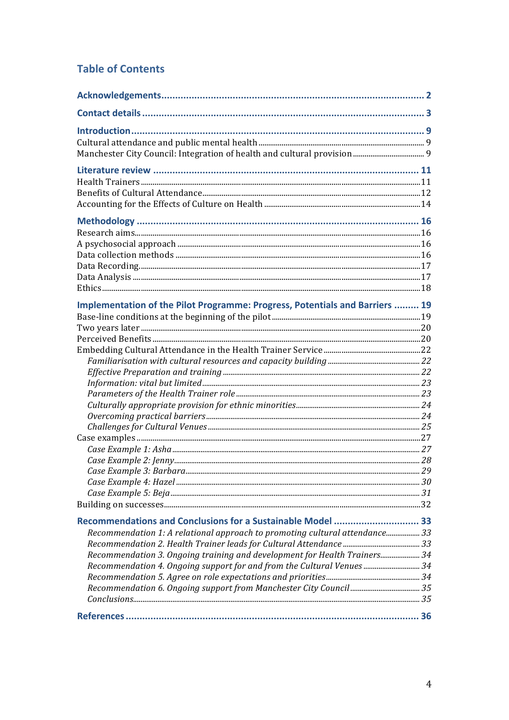# **Table of Contents**

| Implementation of the Pilot Programme: Progress, Potentials and Barriers  19 |  |
|------------------------------------------------------------------------------|--|
|                                                                              |  |
|                                                                              |  |
|                                                                              |  |
|                                                                              |  |
|                                                                              |  |
|                                                                              |  |
|                                                                              |  |
|                                                                              |  |
|                                                                              |  |
|                                                                              |  |
|                                                                              |  |
|                                                                              |  |
|                                                                              |  |
|                                                                              |  |
| Case Example 3: Barbara<br>$\sim$ 29                                         |  |
|                                                                              |  |
|                                                                              |  |
|                                                                              |  |
| Recommendations and Conclusions for a Sustainable Model  33                  |  |
| Recommendation 1: A relational approach to promoting cultural attendance33   |  |
|                                                                              |  |
| Recommendation 3. Ongoing training and development for Health Trainers 34    |  |
| Recommendation 4. Ongoing support for and from the Cultural Venues  34       |  |
|                                                                              |  |
|                                                                              |  |
|                                                                              |  |
|                                                                              |  |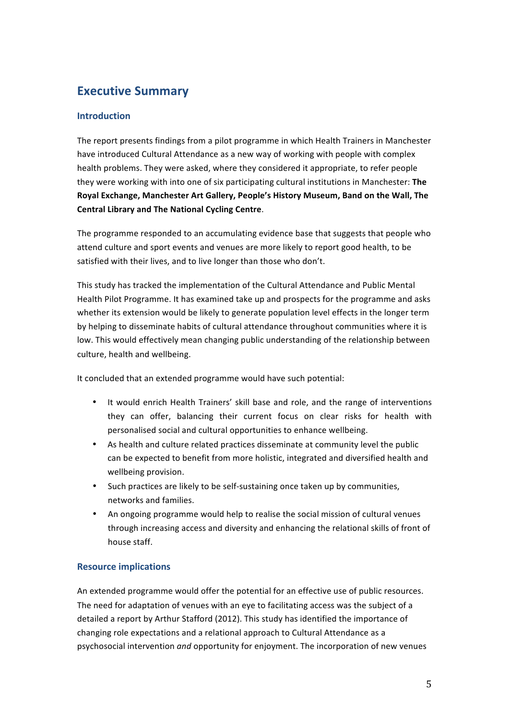# **Executive Summary**

# **Introduction**

The report presents findings from a pilot programme in which Health Trainers in Manchester have introduced Cultural Attendance as a new way of working with people with complex health problems. They were asked, where they considered it appropriate, to refer people they were working with into one of six participating cultural institutions in Manchester: The Royal Exchange, Manchester Art Gallery, People's History Museum, Band on the Wall, The **Central Library and The National Cycling Centre.** 

The programme responded to an accumulating evidence base that suggests that people who attend culture and sport events and venues are more likely to report good health, to be satisfied with their lives, and to live longer than those who don't.

This study has tracked the implementation of the Cultural Attendance and Public Mental Health Pilot Programme. It has examined take up and prospects for the programme and asks whether its extension would be likely to generate population level effects in the longer term by helping to disseminate habits of cultural attendance throughout communities where it is low. This would effectively mean changing public understanding of the relationship between culture, health and wellbeing.

It concluded that an extended programme would have such potential:

- It would enrich Health Trainers' skill base and role, and the range of interventions they can offer, balancing their current focus on clear risks for health with personalised social and cultural opportunities to enhance wellbeing.
- As health and culture related practices disseminate at community level the public can be expected to benefit from more holistic, integrated and diversified health and wellbeing provision.
- Such practices are likely to be self-sustaining once taken up by communities, networks and families.
- An ongoing programme would help to realise the social mission of cultural venues through increasing access and diversity and enhancing the relational skills of front of house staff.

# **Resource implications**

An extended programme would offer the potential for an effective use of public resources. The need for adaptation of venues with an eye to facilitating access was the subject of a detailed a report by Arthur Stafford (2012). This study has identified the importance of changing role expectations and a relational approach to Cultural Attendance as a psychosocial intervention *and* opportunity for enjoyment. The incorporation of new venues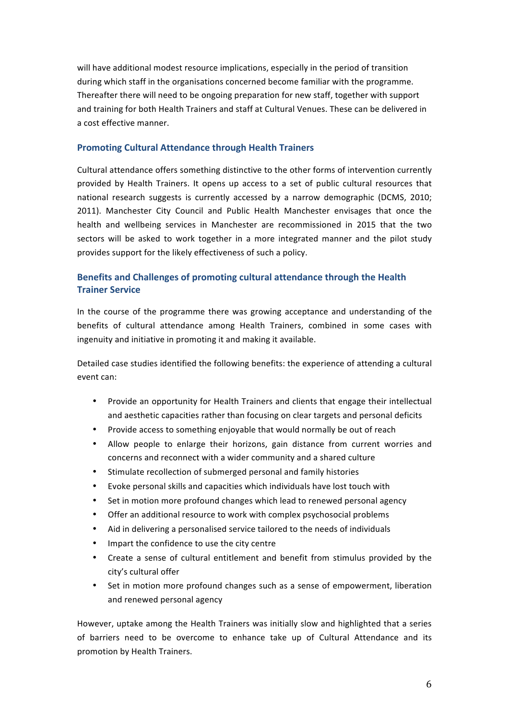will have additional modest resource implications, especially in the period of transition during which staff in the organisations concerned become familiar with the programme. Thereafter there will need to be ongoing preparation for new staff, together with support and training for both Health Trainers and staff at Cultural Venues. These can be delivered in a cost effective manner.

#### **Promoting Cultural Attendance through Health Trainers**

Cultural attendance offers something distinctive to the other forms of intervention currently provided by Health Trainers. It opens up access to a set of public cultural resources that national research suggests is currently accessed by a narrow demographic (DCMS, 2010; 2011). Manchester City Council and Public Health Manchester envisages that once the health and wellbeing services in Manchester are recommissioned in 2015 that the two sectors will be asked to work together in a more integrated manner and the pilot study provides support for the likely effectiveness of such a policy.

# **Benefits and Challenges of promoting cultural attendance through the Health Trainer Service**

In the course of the programme there was growing acceptance and understanding of the benefits of cultural attendance among Health Trainers, combined in some cases with ingenuity and initiative in promoting it and making it available.

Detailed case studies identified the following benefits: the experience of attending a cultural event can:

- Provide an opportunity for Health Trainers and clients that engage their intellectual and aesthetic capacities rather than focusing on clear targets and personal deficits
- Provide access to something enjoyable that would normally be out of reach
- Allow people to enlarge their horizons, gain distance from current worries and concerns and reconnect with a wider community and a shared culture
- Stimulate recollection of submerged personal and family histories
- Evoke personal skills and capacities which individuals have lost touch with
- Set in motion more profound changes which lead to renewed personal agency
- Offer an additional resource to work with complex psychosocial problems
- Aid in delivering a personalised service tailored to the needs of individuals
- Impart the confidence to use the city centre
- Create a sense of cultural entitlement and benefit from stimulus provided by the city's cultural offer
- Set in motion more profound changes such as a sense of empowerment, liberation and renewed personal agency

However, uptake among the Health Trainers was initially slow and highlighted that a series of barriers need to be overcome to enhance take up of Cultural Attendance and its promotion by Health Trainers.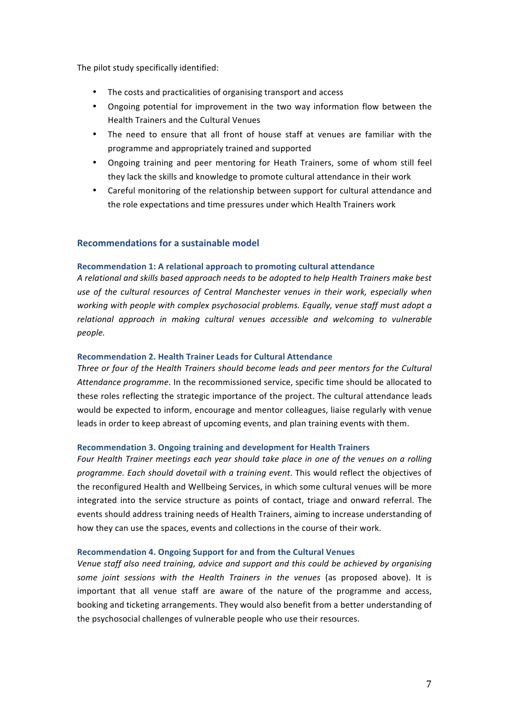The pilot study specifically identified:

- The costs and practicalities of organising transport and access
- Ongoing potential for improvement in the two way information flow between the Health Trainers and the Cultural Venues
- The need to ensure that all front of house staff at venues are familiar with the programme and appropriately trained and supported
- Ongoing training and peer mentoring for Heath Trainers, some of whom still feel they lack the skills and knowledge to promote cultural attendance in their work
- Careful monitoring of the relationship between support for cultural attendance and the role expectations and time pressures under which Health Trainers work

#### **Recommendations for a sustainable model**

#### **Recommendation 1: A relational approach to promoting cultural attendance**

*A relational and skills based approach needs to be adopted to help Health Trainers make best*  use of the cultural resources of Central Manchester venues in their work, especially when *working* with *people* with *complex psychosocial problems.* Equally, venue staff must adopt a relational approach in making cultural venues accessible and welcoming to vulnerable *people.*

#### **Recommendation 2. Health Trainer Leads for Cultural Attendance**

Three or four of the Health Trainers should become leads and peer mentors for the Cultural Attendance programme. In the recommissioned service, specific time should be allocated to these roles reflecting the strategic importance of the project. The cultural attendance leads would be expected to inform, encourage and mentor colleagues, liaise regularly with venue leads in order to keep abreast of upcoming events, and plan training events with them.

#### **Recommendation 3. Ongoing training and development for Health Trainers**

Four Health Trainer meetings each year should take place in one of the venues on a rolling *programme. Each should dovetail with a training event.* This would reflect the objectives of the reconfigured Health and Wellbeing Services, in which some cultural venues will be more integrated into the service structure as points of contact, triage and onward referral. The events should address training needs of Health Trainers, aiming to increase understanding of how they can use the spaces, events and collections in the course of their work.

#### **Recommendation 4. Ongoing Support for and from the Cultural Venues**

Venue staff also need training, advice and support and this could be achieved by organising some joint sessions with the Health Trainers in the venues (as proposed above). It is important that all venue staff are aware of the nature of the programme and access, booking and ticketing arrangements. They would also benefit from a better understanding of the psychosocial challenges of vulnerable people who use their resources.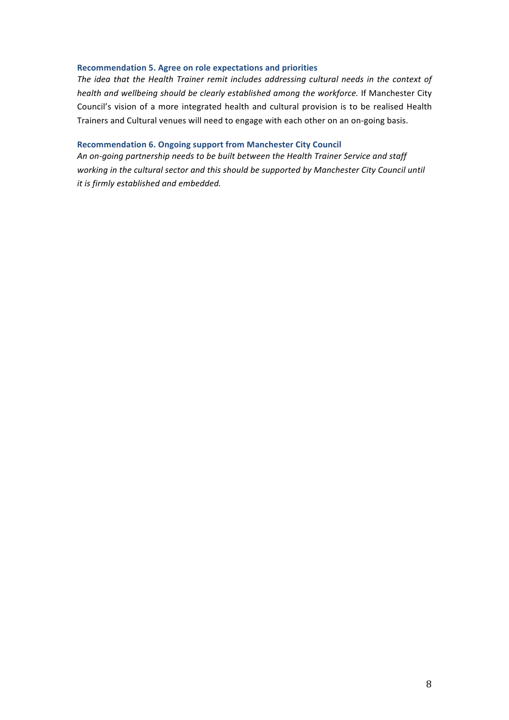#### **Recommendation 5. Agree on role expectations and priorities**

The idea that the Health Trainer remit includes addressing cultural needs in the context of *health and wellbeing should be clearly established among the workforce.* If Manchester City Council's vision of a more integrated health and cultural provision is to be realised Health Trainers and Cultural venues will need to engage with each other on an on-going basis.

#### **Recommendation 6. Ongoing support from Manchester City Council**

An on-going partnership needs to be built between the Health Trainer Service and staff working in the cultural sector and this should be supported by Manchester City Council until *it is firmly established and embedded.*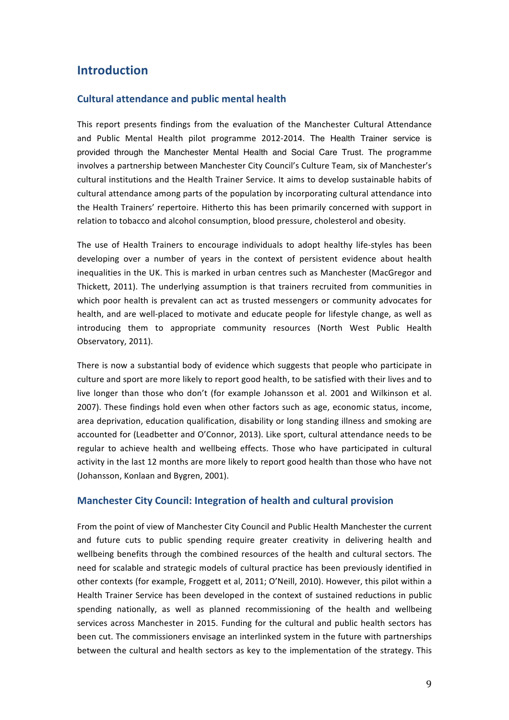# **Introduction**

### **Cultural attendance and public mental health**

This report presents findings from the evaluation of the Manchester Cultural Attendance and Public Mental Health pilot programme 2012-2014. The Health Trainer service is provided through the Manchester Mental Health and Social Care Trust. The programme involves a partnership between Manchester City Council's Culture Team, six of Manchester's cultural institutions and the Health Trainer Service. It aims to develop sustainable habits of cultural attendance among parts of the population by incorporating cultural attendance into the Health Trainers' repertoire. Hitherto this has been primarily concerned with support in relation to tobacco and alcohol consumption, blood pressure, cholesterol and obesity.

The use of Health Trainers to encourage individuals to adopt healthy life-styles has been developing over a number of vears in the context of persistent evidence about health inequalities in the UK. This is marked in urban centres such as Manchester (MacGregor and Thickett, 2011). The underlying assumption is that trainers recruited from communities in which poor health is prevalent can act as trusted messengers or community advocates for health, and are well-placed to motivate and educate people for lifestyle change, as well as introducing them to appropriate community resources (North West Public Health Observatory, 2011).

There is now a substantial body of evidence which suggests that people who participate in culture and sport are more likely to report good health, to be satisfied with their lives and to live longer than those who don't (for example Johansson et al. 2001 and Wilkinson et al. 2007). These findings hold even when other factors such as age, economic status, income, area deprivation, education qualification, disability or long standing illness and smoking are accounted for (Leadbetter and O'Connor, 2013). Like sport, cultural attendance needs to be regular to achieve health and wellbeing effects. Those who have participated in cultural activity in the last 12 months are more likely to report good health than those who have not (Johansson, Konlaan and Bygren, 2001).

#### **Manchester City Council: Integration of health and cultural provision**

From the point of view of Manchester City Council and Public Health Manchester the current and future cuts to public spending require greater creativity in delivering health and wellbeing benefits through the combined resources of the health and cultural sectors. The need for scalable and strategic models of cultural practice has been previously identified in other contexts (for example, Froggett et al, 2011; O'Neill, 2010). However, this pilot within a Health Trainer Service has been developed in the context of sustained reductions in public spending nationally, as well as planned recommissioning of the health and wellbeing services across Manchester in 2015. Funding for the cultural and public health sectors has been cut. The commissioners envisage an interlinked system in the future with partnerships between the cultural and health sectors as key to the implementation of the strategy. This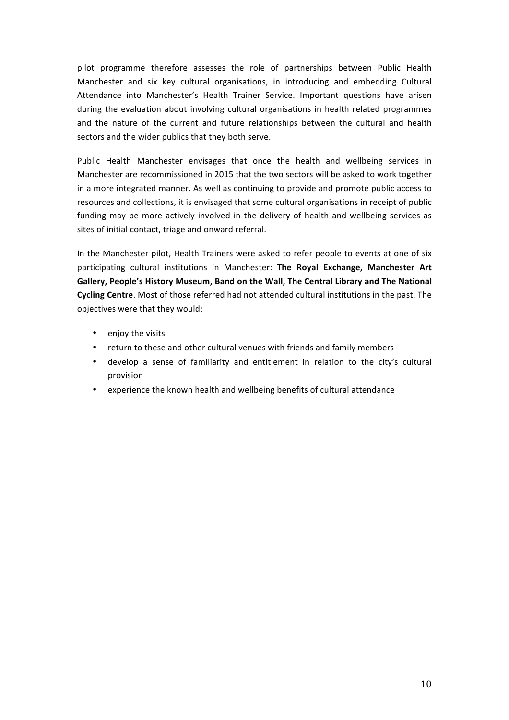pilot programme therefore assesses the role of partnerships between Public Health Manchester and six key cultural organisations, in introducing and embedding Cultural Attendance into Manchester's Health Trainer Service. Important questions have arisen during the evaluation about involving cultural organisations in health related programmes and the nature of the current and future relationships between the cultural and health sectors and the wider publics that they both serve.

Public Health Manchester envisages that once the health and wellbeing services in Manchester are recommissioned in 2015 that the two sectors will be asked to work together in a more integrated manner. As well as continuing to provide and promote public access to resources and collections, it is envisaged that some cultural organisations in receipt of public funding may be more actively involved in the delivery of health and wellbeing services as sites of initial contact, triage and onward referral.

In the Manchester pilot, Health Trainers were asked to refer people to events at one of six participating cultural institutions in Manchester: The Royal Exchange, Manchester Art Gallery, People's History Museum, Band on the Wall, The Central Library and The National **Cycling Centre**. Most of those referred had not attended cultural institutions in the past. The objectives were that they would:

- enjoy the visits
- return to these and other cultural venues with friends and family members
- develop a sense of familiarity and entitlement in relation to the city's cultural provision
- experience the known health and wellbeing benefits of cultural attendance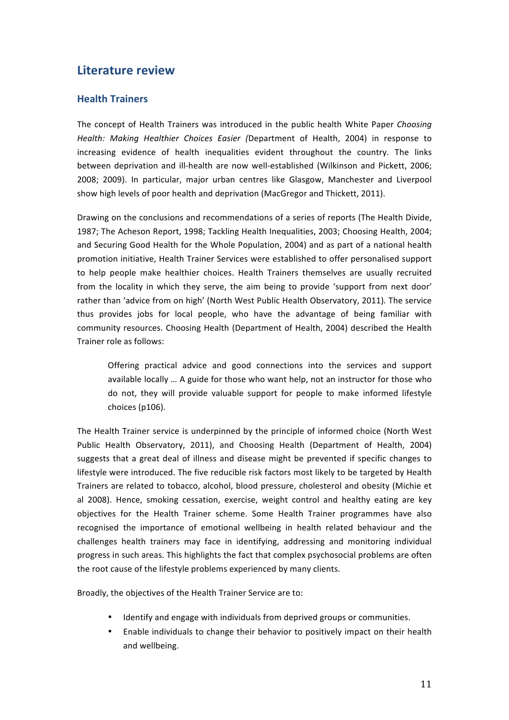# **Literature review**

# **Health Trainers**

The concept of Health Trainers was introduced in the public health White Paper *Choosing* Health: Making Healthier Choices Easier (Department of Health, 2004) in response to increasing evidence of health inequalities evident throughout the country. The links between deprivation and ill-health are now well-established (Wilkinson and Pickett, 2006; 2008; 2009). In particular, major urban centres like Glasgow, Manchester and Liverpool show high levels of poor health and deprivation (MacGregor and Thickett, 2011).

Drawing on the conclusions and recommendations of a series of reports (The Health Divide, 1987; The Acheson Report, 1998; Tackling Health Inequalities, 2003; Choosing Health, 2004; and Securing Good Health for the Whole Population, 2004) and as part of a national health promotion initiative, Health Trainer Services were established to offer personalised support to help people make healthier choices. Health Trainers themselves are usually recruited from the locality in which they serve, the aim being to provide 'support from next door' rather than 'advice from on high' (North West Public Health Observatory, 2011). The service thus provides jobs for local people, who have the advantage of being familiar with community resources. Choosing Health (Department of Health, 2004) described the Health Trainer role as follows:

Offering practical advice and good connections into the services and support available locally ... A guide for those who want help, not an instructor for those who do not, they will provide valuable support for people to make informed lifestyle choices (p106).

The Health Trainer service is underpinned by the principle of informed choice (North West Public Health Observatory, 2011), and Choosing Health (Department of Health, 2004) suggests that a great deal of illness and disease might be prevented if specific changes to lifestyle were introduced. The five reducible risk factors most likely to be targeted by Health Trainers are related to tobacco, alcohol, blood pressure, cholesterol and obesity (Michie et al 2008). Hence, smoking cessation, exercise, weight control and healthy eating are key objectives for the Health Trainer scheme. Some Health Trainer programmes have also recognised the importance of emotional wellbeing in health related behaviour and the challenges health trainers may face in identifying, addressing and monitoring individual progress in such areas. This highlights the fact that complex psychosocial problems are often the root cause of the lifestyle problems experienced by many clients.

Broadly, the objectives of the Health Trainer Service are to:

- Identify and engage with individuals from deprived groups or communities.
- Enable individuals to change their behavior to positively impact on their health and wellbeing.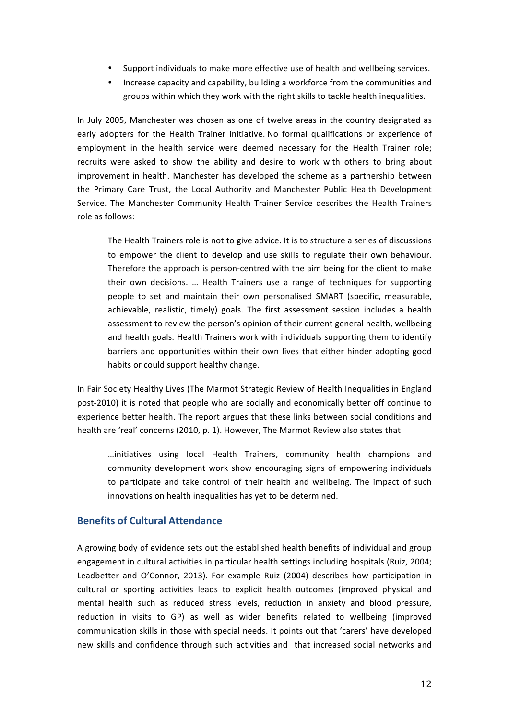- Support individuals to make more effective use of health and wellbeing services.
- Increase capacity and capability, building a workforce from the communities and groups within which they work with the right skills to tackle health inequalities.

In July 2005, Manchester was chosen as one of twelve areas in the country designated as early adopters for the Health Trainer initiative. No formal qualifications or experience of employment in the health service were deemed necessary for the Health Trainer role; recruits were asked to show the ability and desire to work with others to bring about improvement in health. Manchester has developed the scheme as a partnership between the Primary Care Trust, the Local Authority and Manchester Public Health Development Service. The Manchester Community Health Trainer Service describes the Health Trainers role as follows:

The Health Trainers role is not to give advice. It is to structure a series of discussions to empower the client to develop and use skills to regulate their own behaviour. Therefore the approach is person-centred with the aim being for the client to make their own decisions. ... Health Trainers use a range of techniques for supporting people to set and maintain their own personalised SMART (specific, measurable, achievable, realistic, timely) goals. The first assessment session includes a health assessment to review the person's opinion of their current general health, wellbeing and health goals. Health Trainers work with individuals supporting them to identify barriers and opportunities within their own lives that either hinder adopting good habits or could support healthy change.

In Fair Society Healthy Lives (The Marmot Strategic Review of Health Inequalities in England post-2010) it is noted that people who are socially and economically better off continue to experience better health. The report argues that these links between social conditions and health are 'real' concerns (2010, p. 1). However, The Marmot Review also states that

…initiatives using local Health Trainers, community health champions and community development work show encouraging signs of empowering individuals to participate and take control of their health and wellbeing. The impact of such innovations on health inequalities has yet to be determined.

# **Benefits of Cultural Attendance**

A growing body of evidence sets out the established health benefits of individual and group engagement in cultural activities in particular health settings including hospitals (Ruiz, 2004; Leadbetter and O'Connor, 2013). For example Ruiz (2004) describes how participation in cultural or sporting activities leads to explicit health outcomes (improved physical and mental health such as reduced stress levels, reduction in anxiety and blood pressure, reduction in visits to GP) as well as wider benefits related to wellbeing (improved communication skills in those with special needs. It points out that 'carers' have developed new skills and confidence through such activities and that increased social networks and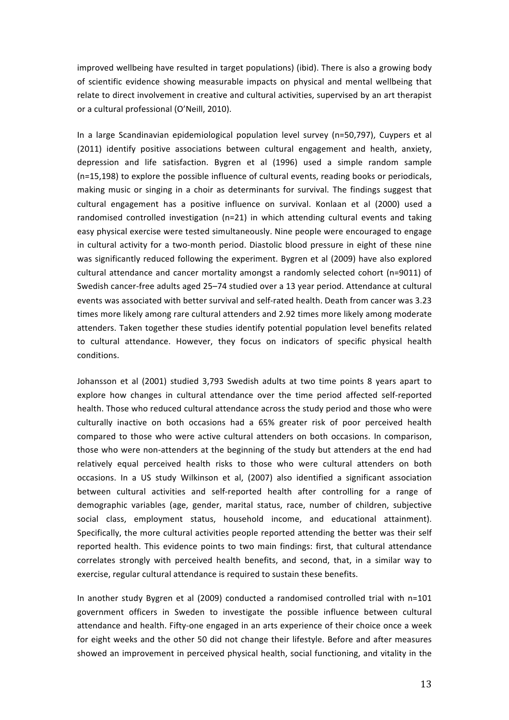improved wellbeing have resulted in target populations) (ibid). There is also a growing body of scientific evidence showing measurable impacts on physical and mental wellbeing that relate to direct involvement in creative and cultural activities, supervised by an art therapist or a cultural professional (O'Neill, 2010).

In a large Scandinavian epidemiological population level survey (n=50,797), Cuypers et al (2011) identify positive associations between cultural engagement and health, anxiety, depression and life satisfaction. Bygren et al (1996) used a simple random sample  $(n=15,198)$  to explore the possible influence of cultural events, reading books or periodicals, making music or singing in a choir as determinants for survival. The findings suggest that cultural engagement has a positive influence on survival. Konlaan et al (2000) used a randomised controlled investigation  $(n=21)$  in which attending cultural events and taking easy physical exercise were tested simultaneously. Nine people were encouraged to engage in cultural activity for a two-month period. Diastolic blood pressure in eight of these nine was significantly reduced following the experiment. Bygren et al (2009) have also explored cultural attendance and cancer mortality amongst a randomly selected cohort (n=9011) of Swedish cancer-free adults aged 25-74 studied over a 13 year period. Attendance at cultural events was associated with better survival and self-rated health. Death from cancer was 3.23 times more likely among rare cultural attenders and 2.92 times more likely among moderate attenders. Taken together these studies identify potential population level benefits related to cultural attendance. However, they focus on indicators of specific physical health conditions.

Johansson et al (2001) studied 3,793 Swedish adults at two time points 8 years apart to explore how changes in cultural attendance over the time period affected self-reported health. Those who reduced cultural attendance across the study period and those who were culturally inactive on both occasions had a 65% greater risk of poor perceived health compared to those who were active cultural attenders on both occasions. In comparison, those who were non-attenders at the beginning of the study but attenders at the end had relatively equal perceived health risks to those who were cultural attenders on both occasions. In a US study Wilkinson et al, (2007) also identified a significant association between cultural activities and self-reported health after controlling for a range of demographic variables (age, gender, marital status, race, number of children, subjective social class, employment status, household income, and educational attainment). Specifically, the more cultural activities people reported attending the better was their self reported health. This evidence points to two main findings: first, that cultural attendance correlates strongly with perceived health benefits, and second, that, in a similar way to exercise, regular cultural attendance is required to sustain these benefits.

In another study Bygren et al (2009) conducted a randomised controlled trial with n=101 government officers in Sweden to investigate the possible influence between cultural attendance and health. Fifty-one engaged in an arts experience of their choice once a week for eight weeks and the other 50 did not change their lifestyle. Before and after measures showed an improvement in perceived physical health, social functioning, and vitality in the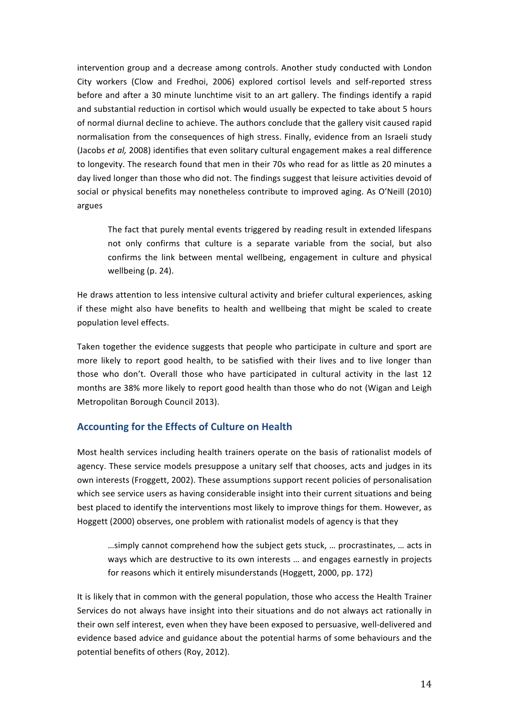intervention group and a decrease among controls. Another study conducted with London City workers (Clow and Fredhoi, 2006) explored cortisol levels and self-reported stress before and after a 30 minute lunchtime visit to an art gallery. The findings identify a rapid and substantial reduction in cortisol which would usually be expected to take about 5 hours of normal diurnal decline to achieve. The authors conclude that the gallery visit caused rapid normalisation from the consequences of high stress. Finally, evidence from an Israeli study (Jacobs *et al,* 2008) identifies that even solitary cultural engagement makes a real difference to longevity. The research found that men in their 70s who read for as little as 20 minutes a day lived longer than those who did not. The findings suggest that leisure activities devoid of social or physical benefits may nonetheless contribute to improved aging. As O'Neill (2010) argues 

The fact that purely mental events triggered by reading result in extended lifespans not only confirms that culture is a separate variable from the social, but also confirms the link between mental wellbeing, engagement in culture and physical wellbeing (p. 24).

He draws attention to less intensive cultural activity and briefer cultural experiences, asking if these might also have benefits to health and wellbeing that might be scaled to create population level effects.

Taken together the evidence suggests that people who participate in culture and sport are more likely to report good health, to be satisfied with their lives and to live longer than those who don't. Overall those who have participated in cultural activity in the last 12 months are 38% more likely to report good health than those who do not (Wigan and Leigh Metropolitan Borough Council 2013).

# **Accounting for the Effects of Culture on Health**

Most health services including health trainers operate on the basis of rationalist models of agency. These service models presuppose a unitary self that chooses, acts and judges in its own interests (Froggett, 2002). These assumptions support recent policies of personalisation which see service users as having considerable insight into their current situations and being best placed to identify the interventions most likely to improve things for them. However, as Hoggett (2000) observes, one problem with rationalist models of agency is that they

...simply cannot comprehend how the subject gets stuck, ... procrastinates, ... acts in ways which are destructive to its own interests ... and engages earnestly in projects for reasons which it entirely misunderstands (Hoggett, 2000, pp. 172)

It is likely that in common with the general population, those who access the Health Trainer Services do not always have insight into their situations and do not always act rationally in their own self interest, even when they have been exposed to persuasive, well-delivered and evidence based advice and guidance about the potential harms of some behaviours and the potential benefits of others (Roy, 2012).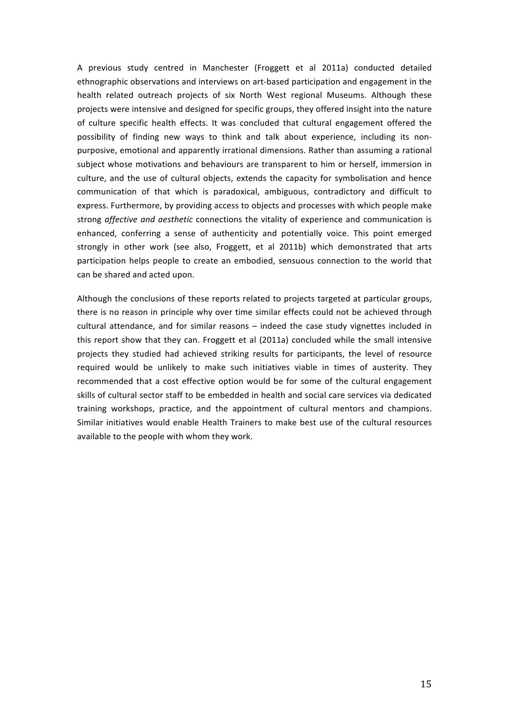A previous study centred in Manchester (Froggett et al 2011a) conducted detailed ethnographic observations and interviews on art-based participation and engagement in the health related outreach projects of six North West regional Museums. Although these projects were intensive and designed for specific groups, they offered insight into the nature of culture specific health effects. It was concluded that cultural engagement offered the possibility of finding new ways to think and talk about experience, including its nonpurposive, emotional and apparently irrational dimensions. Rather than assuming a rational subject whose motivations and behaviours are transparent to him or herself, immersion in culture, and the use of cultural objects, extends the capacity for symbolisation and hence communication of that which is paradoxical, ambiguous, contradictory and difficult to express. Furthermore, by providing access to objects and processes with which people make strong *affective and aesthetic* connections the vitality of experience and communication is enhanced, conferring a sense of authenticity and potentially voice. This point emerged strongly in other work (see also, Froggett, et al 2011b) which demonstrated that arts participation helps people to create an embodied, sensuous connection to the world that can be shared and acted upon.

Although the conclusions of these reports related to projects targeted at particular groups, there is no reason in principle why over time similar effects could not be achieved through cultural attendance, and for similar reasons – indeed the case study vignettes included in this report show that they can. Froggett et al (2011a) concluded while the small intensive projects they studied had achieved striking results for participants, the level of resource required would be unlikely to make such initiatives viable in times of austerity. They recommended that a cost effective option would be for some of the cultural engagement skills of cultural sector staff to be embedded in health and social care services via dedicated training workshops, practice, and the appointment of cultural mentors and champions. Similar initiatives would enable Health Trainers to make best use of the cultural resources available to the people with whom they work.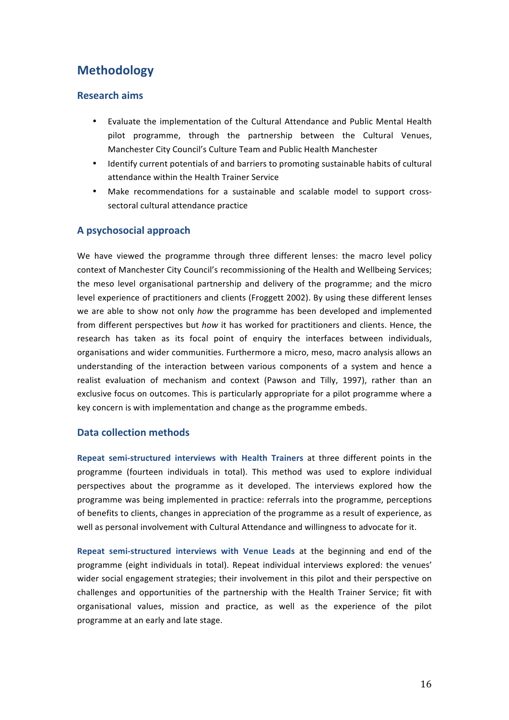# **Methodology**

# **Research aims**

- Evaluate the implementation of the Cultural Attendance and Public Mental Health pilot programme, through the partnership between the Cultural Venues, Manchester City Council's Culture Team and Public Health Manchester
- Identify current potentials of and barriers to promoting sustainable habits of cultural attendance within the Health Trainer Service
- Make recommendations for a sustainable and scalable model to support crosssectoral cultural attendance practice

# **A psychosocial approach**

We have viewed the programme through three different lenses: the macro level policy context of Manchester City Council's recommissioning of the Health and Wellbeing Services; the meso level organisational partnership and delivery of the programme; and the micro level experience of practitioners and clients (Froggett 2002). By using these different lenses we are able to show not only *how* the programme has been developed and implemented from different perspectives but *how* it has worked for practitioners and clients. Hence, the research has taken as its focal point of enquiry the interfaces between individuals, organisations and wider communities. Furthermore a micro, meso, macro analysis allows an understanding of the interaction between various components of a system and hence a realist evaluation of mechanism and context (Pawson and Tilly, 1997), rather than an exclusive focus on outcomes. This is particularly appropriate for a pilot programme where a key concern is with implementation and change as the programme embeds.

### **Data collection methods**

Repeat semi-structured interviews with Health Trainers at three different points in the programme (fourteen individuals in total). This method was used to explore individual perspectives about the programme as it developed. The interviews explored how the programme was being implemented in practice: referrals into the programme, perceptions of benefits to clients, changes in appreciation of the programme as a result of experience, as well as personal involvement with Cultural Attendance and willingness to advocate for it.

**Repeat semi-structured interviews with Venue Leads at the beginning and end of the** programme (eight individuals in total). Repeat individual interviews explored: the venues' wider social engagement strategies; their involvement in this pilot and their perspective on challenges and opportunities of the partnership with the Health Trainer Service; fit with organisational values, mission and practice, as well as the experience of the pilot programme at an early and late stage.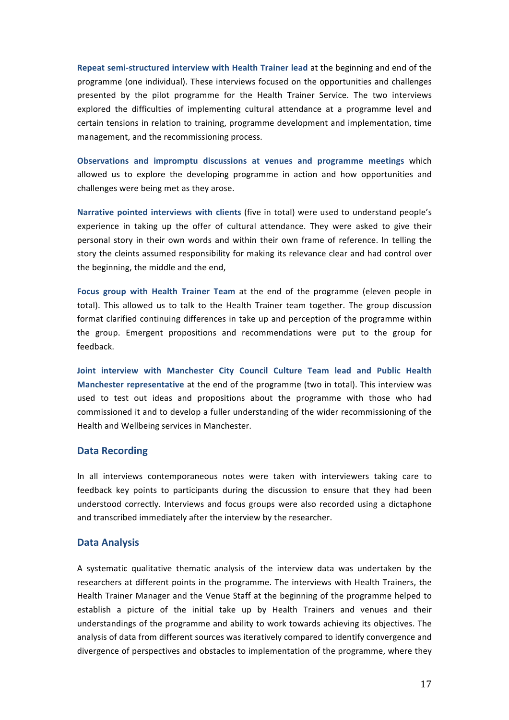**Repeat semi-structured interview with Health Trainer lead at the beginning and end of the** programme (one individual). These interviews focused on the opportunities and challenges presented by the pilot programme for the Health Trainer Service. The two interviews explored the difficulties of implementing cultural attendance at a programme level and certain tensions in relation to training, programme development and implementation, time management, and the recommissioning process.

**Observations and impromptu discussions at venues and programme meetings** which allowed us to explore the developing programme in action and how opportunities and challenges were being met as they arose.

Narrative pointed interviews with clients (five in total) were used to understand people's experience in taking up the offer of cultural attendance. They were asked to give their personal story in their own words and within their own frame of reference. In telling the story the cleints assumed responsibility for making its relevance clear and had control over the beginning, the middle and the end,

Focus group with Health Trainer Team at the end of the programme (eleven people in total). This allowed us to talk to the Health Trainer team together. The group discussion format clarified continuing differences in take up and perception of the programme within the group. Emergent propositions and recommendations were put to the group for feedback. 

Joint interview with Manchester City Council Culture Team lead and Public Health **Manchester representative** at the end of the programme (two in total). This interview was used to test out ideas and propositions about the programme with those who had commissioned it and to develop a fuller understanding of the wider recommissioning of the Health and Wellbeing services in Manchester.

### **Data Recording**

In all interviews contemporaneous notes were taken with interviewers taking care to feedback key points to participants during the discussion to ensure that they had been understood correctly. Interviews and focus groups were also recorded using a dictaphone and transcribed immediately after the interview by the researcher.

#### **Data Analysis**

A systematic qualitative thematic analysis of the interview data was undertaken by the researchers at different points in the programme. The interviews with Health Trainers, the Health Trainer Manager and the Venue Staff at the beginning of the programme helped to establish a picture of the initial take up by Health Trainers and venues and their understandings of the programme and ability to work towards achieving its objectives. The analysis of data from different sources was iteratively compared to identify convergence and divergence of perspectives and obstacles to implementation of the programme, where they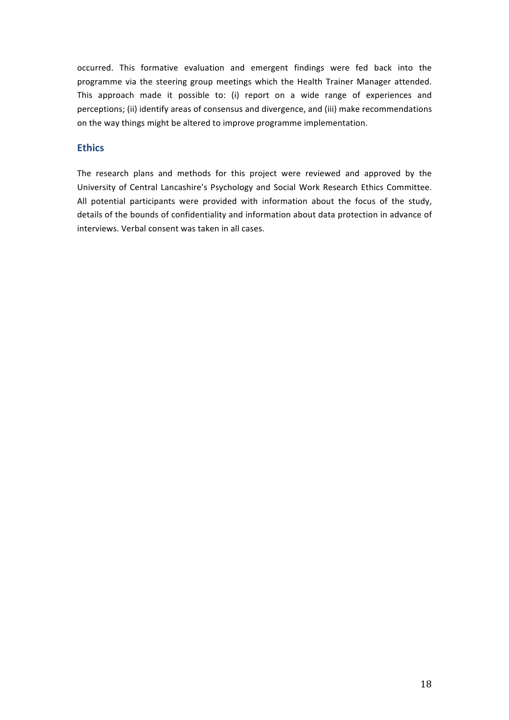occurred. This formative evaluation and emergent findings were fed back into the programme via the steering group meetings which the Health Trainer Manager attended. This approach made it possible to: (i) report on a wide range of experiences and perceptions; (ii) identify areas of consensus and divergence, and (iii) make recommendations on the way things might be altered to improve programme implementation.

# **Ethics**

The research plans and methods for this project were reviewed and approved by the University of Central Lancashire's Psychology and Social Work Research Ethics Committee. All potential participants were provided with information about the focus of the study, details of the bounds of confidentiality and information about data protection in advance of interviews. Verbal consent was taken in all cases.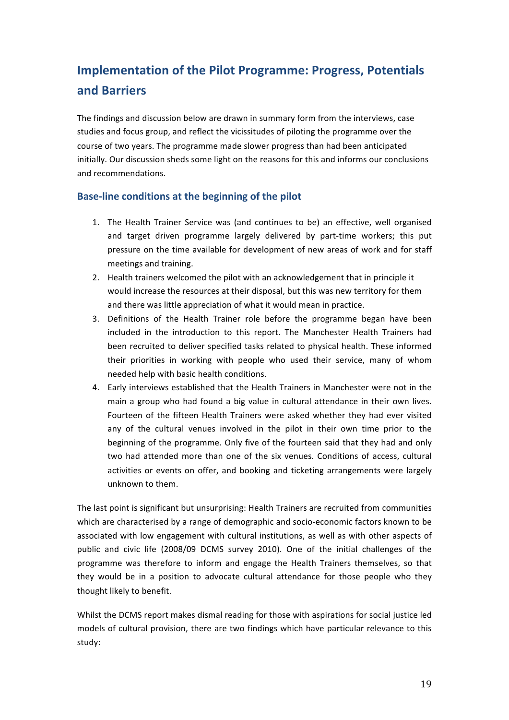# **Implementation of the Pilot Programme: Progress, Potentials and Barriers**

The findings and discussion below are drawn in summary form from the interviews, case studies and focus group, and reflect the vicissitudes of piloting the programme over the course of two years. The programme made slower progress than had been anticipated initially. Our discussion sheds some light on the reasons for this and informs our conclusions and recommendations.

# **Base-line conditions at the beginning of the pilot**

- 1. The Health Trainer Service was (and continues to be) an effective, well organised and target driven programme largely delivered by part-time workers; this put pressure on the time available for development of new areas of work and for staff meetings and training.
- 2. Health trainers welcomed the pilot with an acknowledgement that in principle it would increase the resources at their disposal, but this was new territory for them and there was little appreciation of what it would mean in practice.
- 3. Definitions of the Health Trainer role before the programme began have been included in the introduction to this report. The Manchester Health Trainers had been recruited to deliver specified tasks related to physical health. These informed their priorities in working with people who used their service, many of whom needed help with basic health conditions.
- 4. Early interviews established that the Health Trainers in Manchester were not in the main a group who had found a big value in cultural attendance in their own lives. Fourteen of the fifteen Health Trainers were asked whether they had ever visited any of the cultural venues involved in the pilot in their own time prior to the beginning of the programme. Only five of the fourteen said that they had and only two had attended more than one of the six venues. Conditions of access, cultural activities or events on offer, and booking and ticketing arrangements were largely unknown to them.

The last point is significant but unsurprising: Health Trainers are recruited from communities which are characterised by a range of demographic and socio-economic factors known to be associated with low engagement with cultural institutions, as well as with other aspects of public and civic life (2008/09 DCMS survey 2010). One of the initial challenges of the programme was therefore to inform and engage the Health Trainers themselves, so that they would be in a position to advocate cultural attendance for those people who they thought likely to benefit.

Whilst the DCMS report makes dismal reading for those with aspirations for social justice led models of cultural provision, there are two findings which have particular relevance to this study: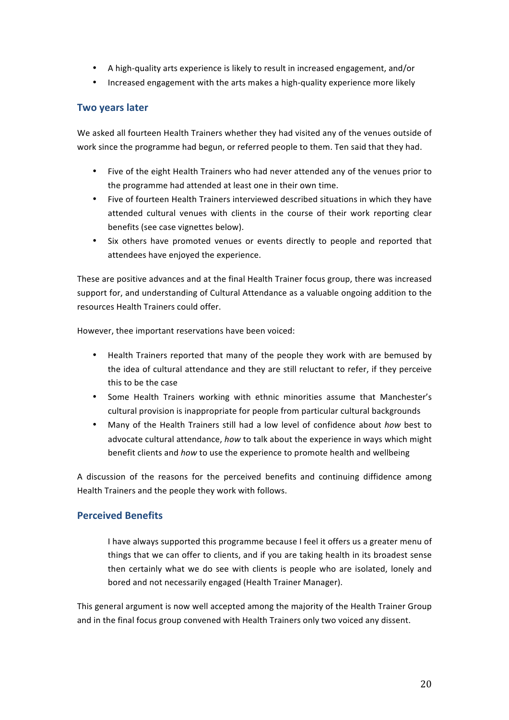- A high-quality arts experience is likely to result in increased engagement, and/or
- Increased engagement with the arts makes a high-quality experience more likely

# **Two years later**

We asked all fourteen Health Trainers whether they had visited any of the venues outside of work since the programme had begun, or referred people to them. Ten said that they had.

- Five of the eight Health Trainers who had never attended any of the venues prior to the programme had attended at least one in their own time.
- Five of fourteen Health Trainers interviewed described situations in which they have attended cultural venues with clients in the course of their work reporting clear benefits (see case vignettes below).
- Six others have promoted venues or events directly to people and reported that attendees have enjoyed the experience.

These are positive advances and at the final Health Trainer focus group, there was increased support for, and understanding of Cultural Attendance as a valuable ongoing addition to the resources Health Trainers could offer.

However, thee important reservations have been voiced:

- Health Trainers reported that many of the people they work with are bemused by the idea of cultural attendance and they are still reluctant to refer, if they perceive this to be the case
- Some Health Trainers working with ethnic minorities assume that Manchester's cultural provision is inappropriate for people from particular cultural backgrounds
- Many of the Health Trainers still had a low level of confidence about *how* best to advocate cultural attendance, how to talk about the experience in ways which might benefit clients and *how* to use the experience to promote health and wellbeing

A discussion of the reasons for the perceived benefits and continuing diffidence among Health Trainers and the people they work with follows.

### **Perceived Benefits**

I have always supported this programme because I feel it offers us a greater menu of things that we can offer to clients, and if you are taking health in its broadest sense then certainly what we do see with clients is people who are isolated, lonely and bored and not necessarily engaged (Health Trainer Manager).

This general argument is now well accepted among the majority of the Health Trainer Group and in the final focus group convened with Health Trainers only two voiced any dissent.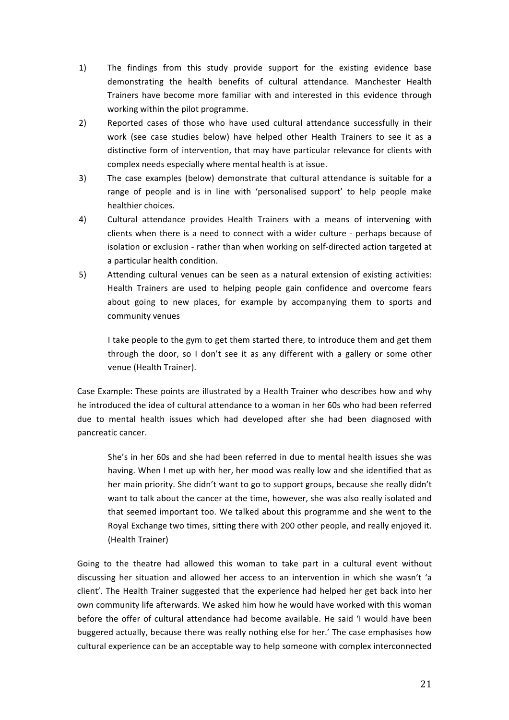- 1) The findings from this study provide support for the existing evidence base demonstrating the health benefits of cultural attendance. Manchester Health Trainers have become more familiar with and interested in this evidence through working within the pilot programme.
- 2) Reported cases of those who have used cultural attendance successfully in their work (see case studies below) have helped other Health Trainers to see it as a distinctive form of intervention, that may have particular relevance for clients with complex needs especially where mental health is at issue.
- 3) The case examples (below) demonstrate that cultural attendance is suitable for a range of people and is in line with 'personalised support' to help people make healthier choices.
- 4) Cultural attendance provides Health Trainers with a means of intervening with clients when there is a need to connect with a wider culture - perhaps because of isolation or exclusion - rather than when working on self-directed action targeted at a particular health condition.
- 5) Attending cultural venues can be seen as a natural extension of existing activities: Health Trainers are used to helping people gain confidence and overcome fears about going to new places, for example by accompanying them to sports and community venues

I take people to the gym to get them started there, to introduce them and get them through the door, so I don't see it as any different with a gallery or some other venue (Health Trainer).

Case Example: These points are illustrated by a Health Trainer who describes how and why he introduced the idea of cultural attendance to a woman in her 60s who had been referred due to mental health issues which had developed after she had been diagnosed with pancreatic cancer.

She's in her 60s and she had been referred in due to mental health issues she was having. When I met up with her, her mood was really low and she identified that as her main priority. She didn't want to go to support groups, because she really didn't want to talk about the cancer at the time, however, she was also really isolated and that seemed important too. We talked about this programme and she went to the Royal Exchange two times, sitting there with 200 other people, and really enjoyed it. (Health Trainer)

Going to the theatre had allowed this woman to take part in a cultural event without discussing her situation and allowed her access to an intervention in which she wasn't 'a client'. The Health Trainer suggested that the experience had helped her get back into her own community life afterwards. We asked him how he would have worked with this woman before the offer of cultural attendance had become available. He said 'I would have been buggered actually, because there was really nothing else for her.' The case emphasises how cultural experience can be an acceptable way to help someone with complex interconnected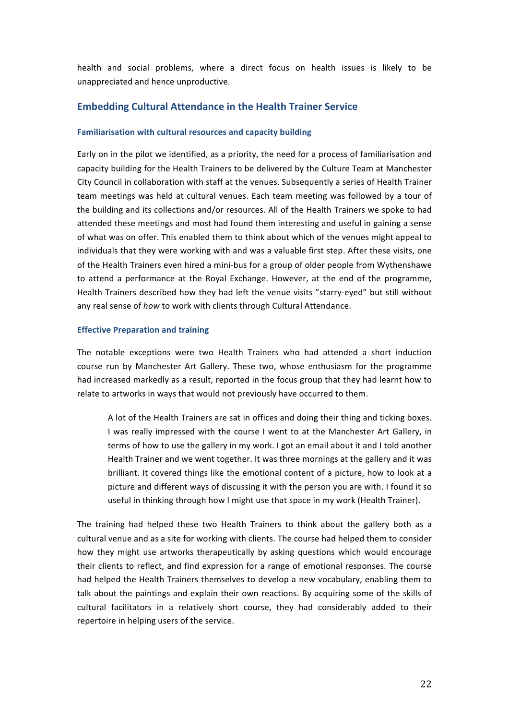health and social problems, where a direct focus on health issues is likely to be unappreciated and hence unproductive.

# **Embedding Cultural Attendance in the Health Trainer Service**

#### **Familiarisation with cultural resources and capacity building**

Early on in the pilot we identified, as a priority, the need for a process of familiarisation and capacity building for the Health Trainers to be delivered by the Culture Team at Manchester City Council in collaboration with staff at the venues. Subsequently a series of Health Trainer team meetings was held at cultural venues. Each team meeting was followed by a tour of the building and its collections and/or resources. All of the Health Trainers we spoke to had attended these meetings and most had found them interesting and useful in gaining a sense of what was on offer. This enabled them to think about which of the venues might appeal to individuals that they were working with and was a valuable first step. After these visits, one of the Health Trainers even hired a mini-bus for a group of older people from Wythenshawe to attend a performance at the Royal Exchange. However, at the end of the programme, Health Trainers described how they had left the venue visits "starry-eyed" but still without any real sense of *how* to work with clients through Cultural Attendance.

#### **Effective Preparation and training**

The notable exceptions were two Health Trainers who had attended a short induction course run by Manchester Art Gallery. These two, whose enthusiasm for the programme had increased markedly as a result, reported in the focus group that they had learnt how to relate to artworks in ways that would not previously have occurred to them.

A lot of the Health Trainers are sat in offices and doing their thing and ticking boxes. I was really impressed with the course I went to at the Manchester Art Gallery, in terms of how to use the gallery in my work. I got an email about it and I told another Health Trainer and we went together. It was three mornings at the gallery and it was brilliant. It covered things like the emotional content of a picture, how to look at a picture and different ways of discussing it with the person you are with. I found it so useful in thinking through how I might use that space in my work (Health Trainer).

The training had helped these two Health Trainers to think about the gallery both as a cultural venue and as a site for working with clients. The course had helped them to consider how they might use artworks therapeutically by asking questions which would encourage their clients to reflect, and find expression for a range of emotional responses. The course had helped the Health Trainers themselves to develop a new vocabulary, enabling them to talk about the paintings and explain their own reactions. By acquiring some of the skills of cultural facilitators in a relatively short course, they had considerably added to their repertoire in helping users of the service.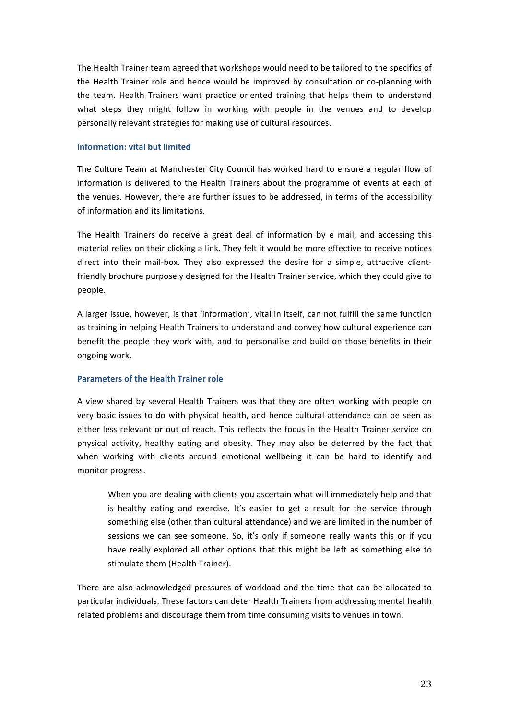The Health Trainer team agreed that workshops would need to be tailored to the specifics of the Health Trainer role and hence would be improved by consultation or co-planning with the team. Health Trainers want practice oriented training that helps them to understand what steps they might follow in working with people in the venues and to develop personally relevant strategies for making use of cultural resources.

#### **Information: vital but limited**

The Culture Team at Manchester City Council has worked hard to ensure a regular flow of information is delivered to the Health Trainers about the programme of events at each of the venues. However, there are further issues to be addressed, in terms of the accessibility of information and its limitations.

The Health Trainers do receive a great deal of information by e mail, and accessing this material relies on their clicking a link. They felt it would be more effective to receive notices direct into their mail-box. They also expressed the desire for a simple, attractive clientfriendly brochure purposely designed for the Health Trainer service, which they could give to people.

A larger issue, however, is that 'information', vital in itself, can not fulfill the same function as training in helping Health Trainers to understand and convey how cultural experience can benefit the people they work with, and to personalise and build on those benefits in their ongoing work.

#### **Parameters of the Health Trainer role**

A view shared by several Health Trainers was that they are often working with people on very basic issues to do with physical health, and hence cultural attendance can be seen as either less relevant or out of reach. This reflects the focus in the Health Trainer service on physical activity, healthy eating and obesity. They may also be deterred by the fact that when working with clients around emotional wellbeing it can be hard to identify and monitor progress.

When you are dealing with clients you ascertain what will immediately help and that is healthy eating and exercise. It's easier to get a result for the service through something else (other than cultural attendance) and we are limited in the number of sessions we can see someone. So, it's only if someone really wants this or if you have really explored all other options that this might be left as something else to stimulate them (Health Trainer).

There are also acknowledged pressures of workload and the time that can be allocated to particular individuals. These factors can deter Health Trainers from addressing mental health related problems and discourage them from time consuming visits to venues in town.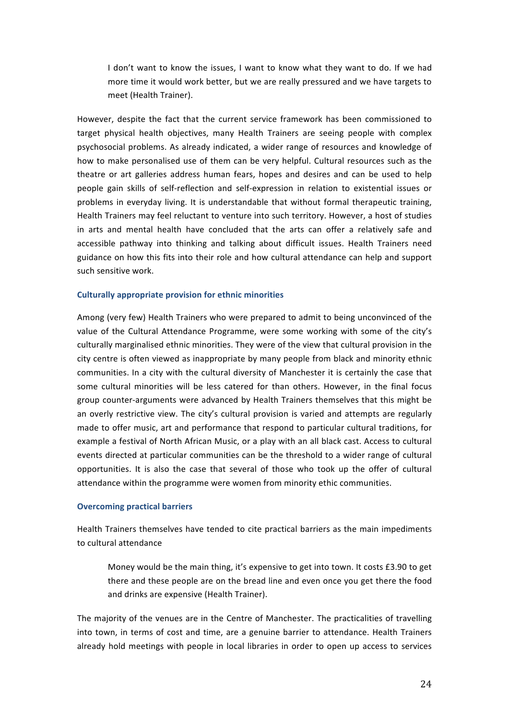I don't want to know the issues, I want to know what they want to do. If we had more time it would work better, but we are really pressured and we have targets to meet (Health Trainer).

However, despite the fact that the current service framework has been commissioned to target physical health objectives, many Health Trainers are seeing people with complex psychosocial problems. As already indicated, a wider range of resources and knowledge of how to make personalised use of them can be very helpful. Cultural resources such as the theatre or art galleries address human fears, hopes and desires and can be used to help people gain skills of self-reflection and self-expression in relation to existential issues or problems in everyday living. It is understandable that without formal therapeutic training, Health Trainers may feel reluctant to venture into such territory. However, a host of studies in arts and mental health have concluded that the arts can offer a relatively safe and accessible pathway into thinking and talking about difficult issues. Health Trainers need guidance on how this fits into their role and how cultural attendance can help and support such sensitive work.

#### **Culturally appropriate provision for ethnic minorities**

Among (very few) Health Trainers who were prepared to admit to being unconvinced of the value of the Cultural Attendance Programme, were some working with some of the city's culturally marginalised ethnic minorities. They were of the view that cultural provision in the city centre is often viewed as inappropriate by many people from black and minority ethnic communities. In a city with the cultural diversity of Manchester it is certainly the case that some cultural minorities will be less catered for than others. However, in the final focus group counter-arguments were advanced by Health Trainers themselves that this might be an overly restrictive view. The city's cultural provision is varied and attempts are regularly made to offer music, art and performance that respond to particular cultural traditions, for example a festival of North African Music, or a play with an all black cast. Access to cultural events directed at particular communities can be the threshold to a wider range of cultural opportunities. It is also the case that several of those who took up the offer of cultural attendance within the programme were women from minority ethic communities.

#### **Overcoming practical barriers**

Health Trainers themselves have tended to cite practical barriers as the main impediments to cultural attendance

Money would be the main thing, it's expensive to get into town. It costs  $£3.90$  to get there and these people are on the bread line and even once you get there the food and drinks are expensive (Health Trainer).

The majority of the venues are in the Centre of Manchester. The practicalities of travelling into town, in terms of cost and time, are a genuine barrier to attendance. Health Trainers already hold meetings with people in local libraries in order to open up access to services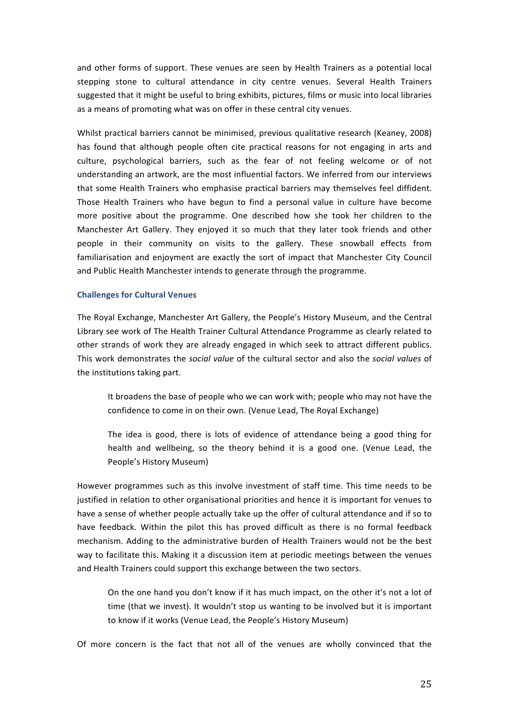and other forms of support. These venues are seen by Health Trainers as a potential local stepping stone to cultural attendance in city centre venues. Several Health Trainers suggested that it might be useful to bring exhibits, pictures, films or music into local libraries as a means of promoting what was on offer in these central city venues.

Whilst practical barriers cannot be minimised, previous qualitative research (Keaney, 2008) has found that although people often cite practical reasons for not engaging in arts and culture, psychological barriers, such as the fear of not feeling welcome or of not understanding an artwork, are the most influential factors. We inferred from our interviews that some Health Trainers who emphasise practical barriers may themselves feel diffident. Those Health Trainers who have begun to find a personal value in culture have become more positive about the programme. One described how she took her children to the Manchester Art Gallery. They enjoyed it so much that they later took friends and other people in their community on visits to the gallery. These snowball effects from familiarisation and enjoyment are exactly the sort of impact that Manchester City Council and Public Health Manchester intends to generate through the programme.

#### **Challenges for Cultural Venues**

The Royal Exchange, Manchester Art Gallery, the People's History Museum, and the Central Library see work of The Health Trainer Cultural Attendance Programme as clearly related to other strands of work they are already engaged in which seek to attract different publics. This work demonstrates the *social value* of the cultural sector and also the *social values* of the institutions taking part.

It broadens the base of people who we can work with; people who may not have the confidence to come in on their own. (Venue Lead, The Royal Exchange)

The idea is good, there is lots of evidence of attendance being a good thing for health and wellbeing, so the theory behind it is a good one. (Venue Lead, the People's History Museum)

However programmes such as this involve investment of staff time. This time needs to be justified in relation to other organisational priorities and hence it is important for venues to have a sense of whether people actually take up the offer of cultural attendance and if so to have feedback. Within the pilot this has proved difficult as there is no formal feedback mechanism. Adding to the administrative burden of Health Trainers would not be the best way to facilitate this. Making it a discussion item at periodic meetings between the venues and Health Trainers could support this exchange between the two sectors.

On the one hand you don't know if it has much impact, on the other it's not a lot of time (that we invest). It wouldn't stop us wanting to be involved but it is important to know if it works (Venue Lead, the People's History Museum)

Of more concern is the fact that not all of the venues are wholly convinced that the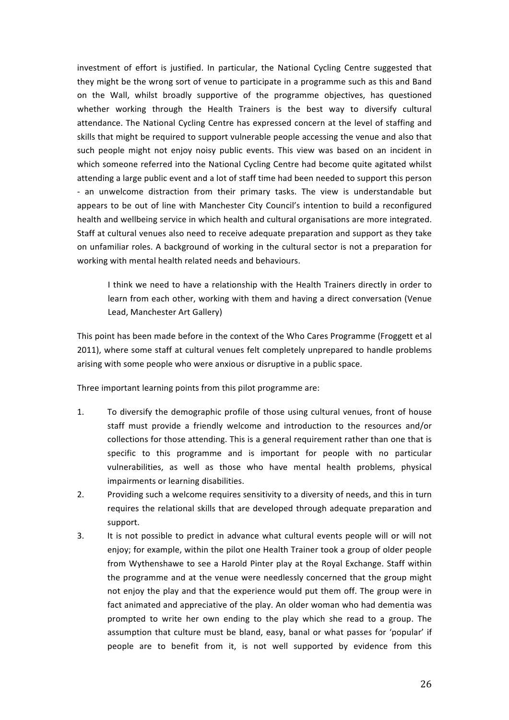investment of effort is justified. In particular, the National Cycling Centre suggested that they might be the wrong sort of venue to participate in a programme such as this and Band on the Wall, whilst broadly supportive of the programme objectives, has questioned whether working through the Health Trainers is the best way to diversify cultural attendance. The National Cycling Centre has expressed concern at the level of staffing and skills that might be required to support vulnerable people accessing the venue and also that such people might not enjoy noisy public events. This view was based on an incident in which someone referred into the National Cycling Centre had become quite agitated whilst attending a large public event and a lot of staff time had been needed to support this person - an unwelcome distraction from their primary tasks. The view is understandable but appears to be out of line with Manchester City Council's intention to build a reconfigured health and wellbeing service in which health and cultural organisations are more integrated. Staff at cultural venues also need to receive adequate preparation and support as they take on unfamiliar roles. A background of working in the cultural sector is not a preparation for working with mental health related needs and behaviours.

I think we need to have a relationship with the Health Trainers directly in order to learn from each other, working with them and having a direct conversation (Venue Lead, Manchester Art Gallery)

This point has been made before in the context of the Who Cares Programme (Froggett et al 2011), where some staff at cultural venues felt completely unprepared to handle problems arising with some people who were anxious or disruptive in a public space.

Three important learning points from this pilot programme are:

- 1. To diversify the demographic profile of those using cultural venues, front of house staff must provide a friendly welcome and introduction to the resources and/or collections for those attending. This is a general requirement rather than one that is specific to this programme and is important for people with no particular vulnerabilities, as well as those who have mental health problems, physical impairments or learning disabilities.
- 2. Providing such a welcome requires sensitivity to a diversity of needs, and this in turn requires the relational skills that are developed through adequate preparation and support.
- 3. It is not possible to predict in advance what cultural events people will or will not enjoy; for example, within the pilot one Health Trainer took a group of older people from Wythenshawe to see a Harold Pinter play at the Royal Exchange. Staff within the programme and at the venue were needlessly concerned that the group might not enjoy the play and that the experience would put them off. The group were in fact animated and appreciative of the play. An older woman who had dementia was prompted to write her own ending to the play which she read to a group. The assumption that culture must be bland, easy, banal or what passes for 'popular' if people are to benefit from it, is not well supported by evidence from this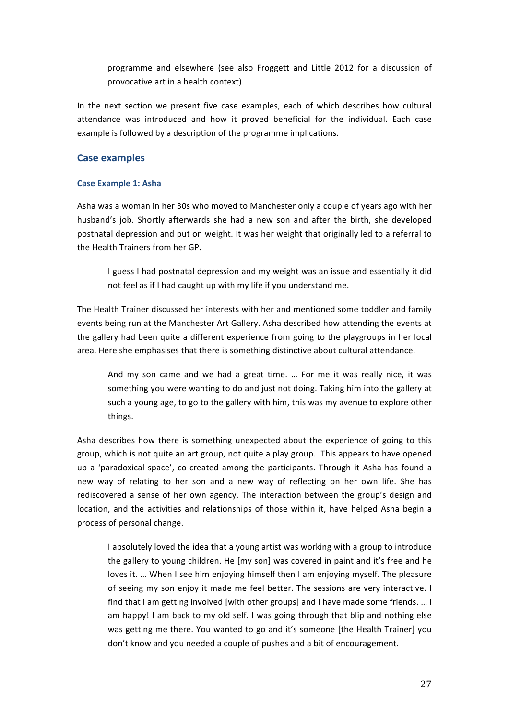programme and elsewhere (see also Froggett and Little 2012 for a discussion of provocative art in a health context).

In the next section we present five case examples, each of which describes how cultural attendance was introduced and how it proved beneficial for the individual. Each case example is followed by a description of the programme implications.

# **Case examples**

### **Case Example 1: Asha**

Asha was a woman in her 30s who moved to Manchester only a couple of years ago with her husband's job. Shortly afterwards she had a new son and after the birth, she developed postnatal depression and put on weight. It was her weight that originally led to a referral to the Health Trainers from her GP.

I guess I had postnatal depression and my weight was an issue and essentially it did not feel as if I had caught up with my life if you understand me.

The Health Trainer discussed her interests with her and mentioned some toddler and family events being run at the Manchester Art Gallery. Asha described how attending the events at the gallery had been quite a different experience from going to the playgroups in her local area. Here she emphasises that there is something distinctive about cultural attendance.

And my son came and we had a great time. ... For me it was really nice, it was something you were wanting to do and just not doing. Taking him into the gallery at such a young age, to go to the gallery with him, this was my avenue to explore other things.

Asha describes how there is something unexpected about the experience of going to this group, which is not quite an art group, not quite a play group. This appears to have opened up a 'paradoxical space', co-created among the participants. Through it Asha has found a new way of relating to her son and a new way of reflecting on her own life. She has rediscovered a sense of her own agency. The interaction between the group's design and location, and the activities and relationships of those within it, have helped Asha begin a process of personal change.

I absolutely loved the idea that a young artist was working with a group to introduce the gallery to young children. He [my son] was covered in paint and it's free and he loves it. ... When I see him enjoying himself then I am enjoying myself. The pleasure of seeing my son enjoy it made me feel better. The sessions are very interactive. I find that I am getting involved [with other groups] and I have made some friends. ... I am happy! I am back to my old self. I was going through that blip and nothing else was getting me there. You wanted to go and it's someone [the Health Trainer] you don't know and you needed a couple of pushes and a bit of encouragement.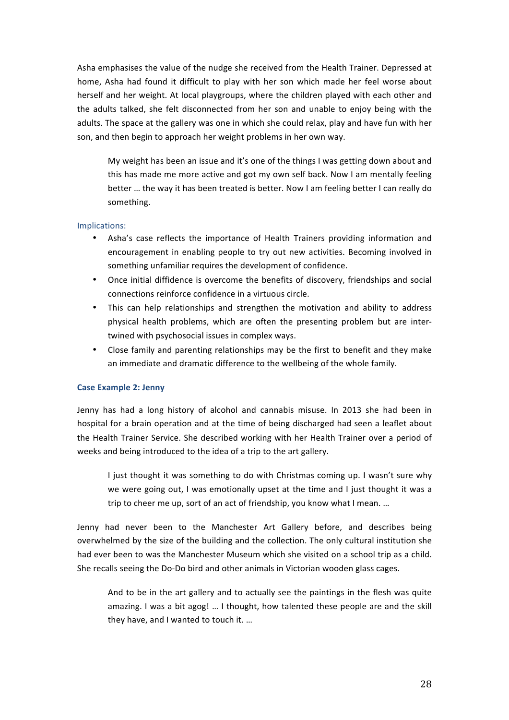Asha emphasises the value of the nudge she received from the Health Trainer. Depressed at home, Asha had found it difficult to play with her son which made her feel worse about herself and her weight. At local playgroups, where the children played with each other and the adults talked, she felt disconnected from her son and unable to enjoy being with the adults. The space at the gallery was one in which she could relax, play and have fun with her son, and then begin to approach her weight problems in her own way.

My weight has been an issue and it's one of the things I was getting down about and this has made me more active and got my own self back. Now I am mentally feeling better ... the way it has been treated is better. Now I am feeling better I can really do something. 

#### Implications:

- Asha's case reflects the importance of Health Trainers providing information and encouragement in enabling people to try out new activities. Becoming involved in something unfamiliar requires the development of confidence.
- Once initial diffidence is overcome the benefits of discovery, friendships and social connections reinforce confidence in a virtuous circle.
- This can help relationships and strengthen the motivation and ability to address physical health problems, which are often the presenting problem but are intertwined with psychosocial issues in complex ways.
- Close family and parenting relationships may be the first to benefit and they make an immediate and dramatic difference to the wellbeing of the whole family.

#### **Case Example 2: Jenny**

Jenny has had a long history of alcohol and cannabis misuse. In 2013 she had been in hospital for a brain operation and at the time of being discharged had seen a leaflet about the Health Trainer Service. She described working with her Health Trainer over a period of weeks and being introduced to the idea of a trip to the art gallery.

I just thought it was something to do with Christmas coming up. I wasn't sure why we were going out, I was emotionally upset at the time and I just thought it was a trip to cheer me up, sort of an act of friendship, you know what I mean. ...

Jenny had never been to the Manchester Art Gallery before, and describes being overwhelmed by the size of the building and the collection. The only cultural institution she had ever been to was the Manchester Museum which she visited on a school trip as a child. She recalls seeing the Do-Do bird and other animals in Victorian wooden glass cages.

And to be in the art gallery and to actually see the paintings in the flesh was quite amazing. I was a bit agog! ... I thought, how talented these people are and the skill they have, and I wanted to touch it. ...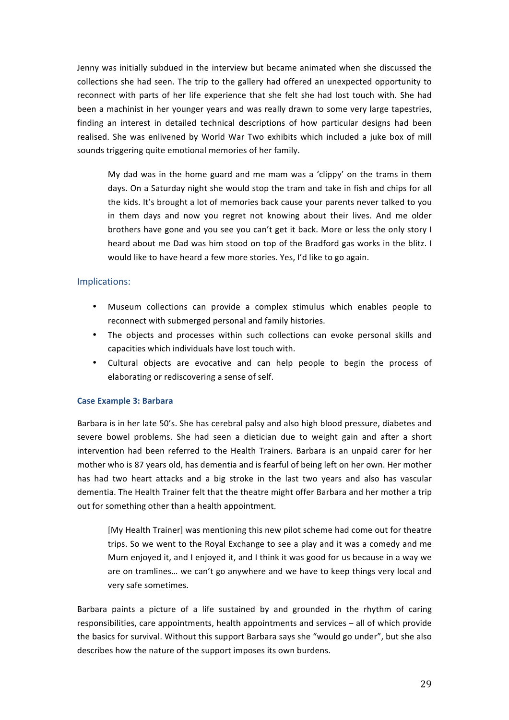Jenny was initially subdued in the interview but became animated when she discussed the collections she had seen. The trip to the gallery had offered an unexpected opportunity to reconnect with parts of her life experience that she felt she had lost touch with. She had been a machinist in her younger years and was really drawn to some very large tapestries, finding an interest in detailed technical descriptions of how particular designs had been realised. She was enlivened by World War Two exhibits which included a juke box of mill sounds triggering quite emotional memories of her family.

My dad was in the home guard and me mam was a 'clippy' on the trams in them days. On a Saturday night she would stop the tram and take in fish and chips for all the kids. It's brought a lot of memories back cause your parents never talked to you in them days and now you regret not knowing about their lives. And me older brothers have gone and you see you can't get it back. More or less the only story I heard about me Dad was him stood on top of the Bradford gas works in the blitz. I would like to have heard a few more stories. Yes, I'd like to go again.

### Implications:

- Museum collections can provide a complex stimulus which enables people to reconnect with submerged personal and family histories.
- The objects and processes within such collections can evoke personal skills and capacities which individuals have lost touch with.
- Cultural objects are evocative and can help people to begin the process of elaborating or rediscovering a sense of self.

#### **Case Example 3: Barbara**

Barbara is in her late 50's. She has cerebral palsy and also high blood pressure, diabetes and severe bowel problems. She had seen a dietician due to weight gain and after a short intervention had been referred to the Health Trainers. Barbara is an unpaid carer for her mother who is 87 years old, has dementia and is fearful of being left on her own. Her mother has had two heart attacks and a big stroke in the last two years and also has vascular dementia. The Health Trainer felt that the theatre might offer Barbara and her mother a trip out for something other than a health appointment.

[My Health Trainer] was mentioning this new pilot scheme had come out for theatre trips. So we went to the Royal Exchange to see a play and it was a comedy and me Mum enjoyed it, and I enjoyed it, and I think it was good for us because in a way we are on tramlines... we can't go anywhere and we have to keep things very local and very safe sometimes.

Barbara paints a picture of a life sustained by and grounded in the rhythm of caring responsibilities, care appointments, health appointments and services – all of which provide the basics for survival. Without this support Barbara says she "would go under", but she also describes how the nature of the support imposes its own burdens.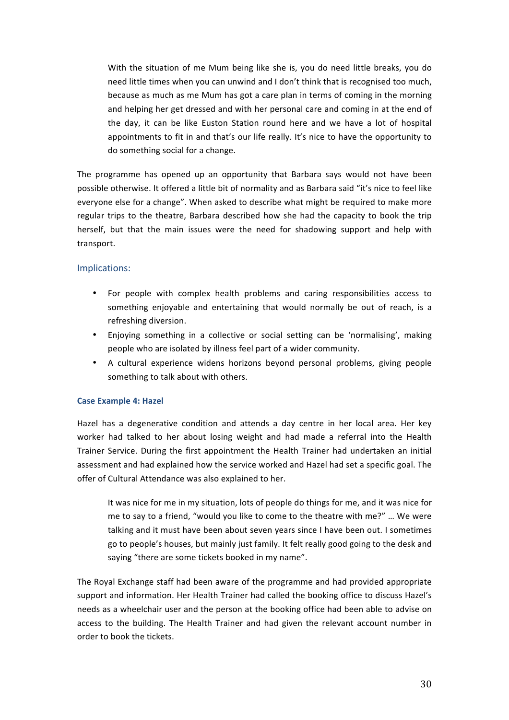With the situation of me Mum being like she is, you do need little breaks, you do need little times when you can unwind and I don't think that is recognised too much, because as much as me Mum has got a care plan in terms of coming in the morning and helping her get dressed and with her personal care and coming in at the end of the day, it can be like Euston Station round here and we have a lot of hospital appointments to fit in and that's our life really. It's nice to have the opportunity to do something social for a change.

The programme has opened up an opportunity that Barbara says would not have been possible otherwise. It offered a little bit of normality and as Barbara said "it's nice to feel like everyone else for a change". When asked to describe what might be required to make more regular trips to the theatre, Barbara described how she had the capacity to book the trip herself, but that the main issues were the need for shadowing support and help with transport. 

### Implications:

- For people with complex health problems and caring responsibilities access to something enjoyable and entertaining that would normally be out of reach, is a refreshing diversion.
- Enjoying something in a collective or social setting can be 'normalising', making people who are isolated by illness feel part of a wider community.
- A cultural experience widens horizons beyond personal problems, giving people something to talk about with others.

#### **Case Example 4: Hazel**

Hazel has a degenerative condition and attends a day centre in her local area. Her key worker had talked to her about losing weight and had made a referral into the Health Trainer Service. During the first appointment the Health Trainer had undertaken an initial assessment and had explained how the service worked and Hazel had set a specific goal. The offer of Cultural Attendance was also explained to her.

It was nice for me in my situation, lots of people do things for me, and it was nice for me to say to a friend, "would you like to come to the theatre with me?" ... We were talking and it must have been about seven vears since I have been out. I sometimes go to people's houses, but mainly just family. It felt really good going to the desk and saving "there are some tickets booked in my name".

The Royal Exchange staff had been aware of the programme and had provided appropriate support and information. Her Health Trainer had called the booking office to discuss Hazel's needs as a wheelchair user and the person at the booking office had been able to advise on access to the building. The Health Trainer and had given the relevant account number in order to book the tickets.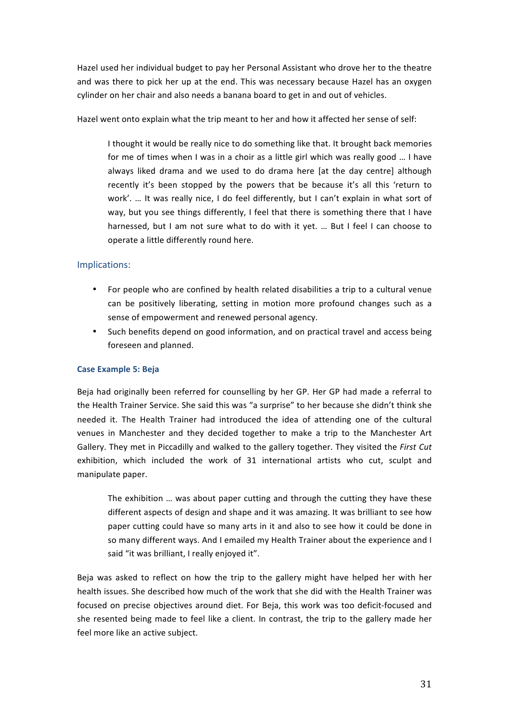Hazel used her individual budget to pay her Personal Assistant who drove her to the theatre and was there to pick her up at the end. This was necessary because Hazel has an oxygen cylinder on her chair and also needs a banana board to get in and out of vehicles.

Hazel went onto explain what the trip meant to her and how it affected her sense of self:

I thought it would be really nice to do something like that. It brought back memories for me of times when I was in a choir as a little girl which was really good ... I have always liked drama and we used to do drama here [at the day centre] although recently it's been stopped by the powers that be because it's all this 'return to work'. ... It was really nice, I do feel differently, but I can't explain in what sort of way, but you see things differently, I feel that there is something there that I have harnessed, but I am not sure what to do with it yet. ... But I feel I can choose to operate a little differently round here.

# Implications:

- For people who are confined by health related disabilities a trip to a cultural venue can be positively liberating, setting in motion more profound changes such as a sense of empowerment and renewed personal agency.
- Such benefits depend on good information, and on practical travel and access being foreseen and planned.

### **Case Example 5: Beja**

Beja had originally been referred for counselling by her GP. Her GP had made a referral to the Health Trainer Service. She said this was "a surprise" to her because she didn't think she needed it. The Health Trainer had introduced the idea of attending one of the cultural venues in Manchester and they decided together to make a trip to the Manchester Art Gallery. They met in Piccadilly and walked to the gallery together. They visited the First Cut exhibition, which included the work of 31 international artists who cut, sculpt and manipulate paper.

The exhibition ... was about paper cutting and through the cutting they have these different aspects of design and shape and it was amazing. It was brilliant to see how paper cutting could have so many arts in it and also to see how it could be done in so many different ways. And I emailed my Health Trainer about the experience and I said "it was brilliant, I really enjoyed it".

Beja was asked to reflect on how the trip to the gallery might have helped her with her health issues. She described how much of the work that she did with the Health Trainer was focused on precise objectives around diet. For Beja, this work was too deficit-focused and she resented being made to feel like a client. In contrast, the trip to the gallery made her feel more like an active subject.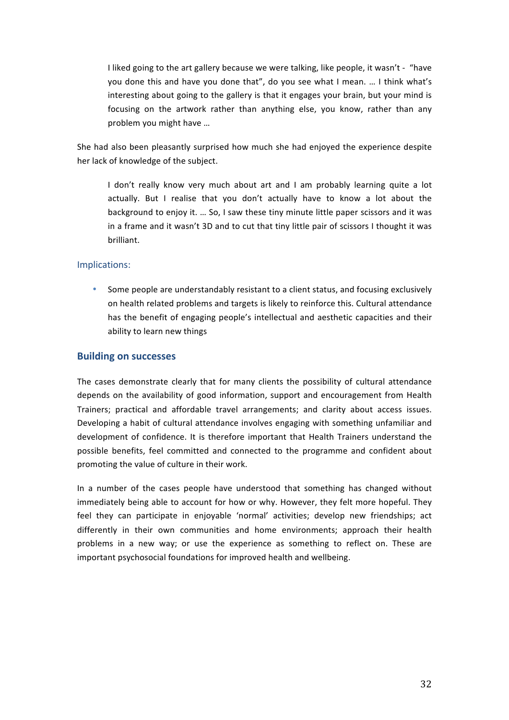I liked going to the art gallery because we were talking, like people, it wasn't - "have you done this and have you done that", do you see what I mean. ... I think what's interesting about going to the gallery is that it engages your brain, but your mind is focusing on the artwork rather than anything else, you know, rather than any problem you might have ...

She had also been pleasantly surprised how much she had enjoyed the experience despite her lack of knowledge of the subject.

I don't really know very much about art and I am probably learning quite a lot actually. But I realise that you don't actually have to know a lot about the background to enjoy it. ... So, I saw these tiny minute little paper scissors and it was in a frame and it wasn't 3D and to cut that tiny little pair of scissors I thought it was brilliant.

### Implications:

Some people are understandably resistant to a client status, and focusing exclusively on health related problems and targets is likely to reinforce this. Cultural attendance has the benefit of engaging people's intellectual and aesthetic capacities and their ability to learn new things

### **Building on successes**

The cases demonstrate clearly that for many clients the possibility of cultural attendance depends on the availability of good information, support and encouragement from Health Trainers; practical and affordable travel arrangements; and clarity about access issues. Developing a habit of cultural attendance involves engaging with something unfamiliar and development of confidence. It is therefore important that Health Trainers understand the possible benefits, feel committed and connected to the programme and confident about promoting the value of culture in their work.

In a number of the cases people have understood that something has changed without immediately being able to account for how or why. However, they felt more hopeful. They feel they can participate in enjoyable 'normal' activities; develop new friendships; act differently in their own communities and home environments; approach their health problems in a new way; or use the experience as something to reflect on. These are important psychosocial foundations for improved health and wellbeing.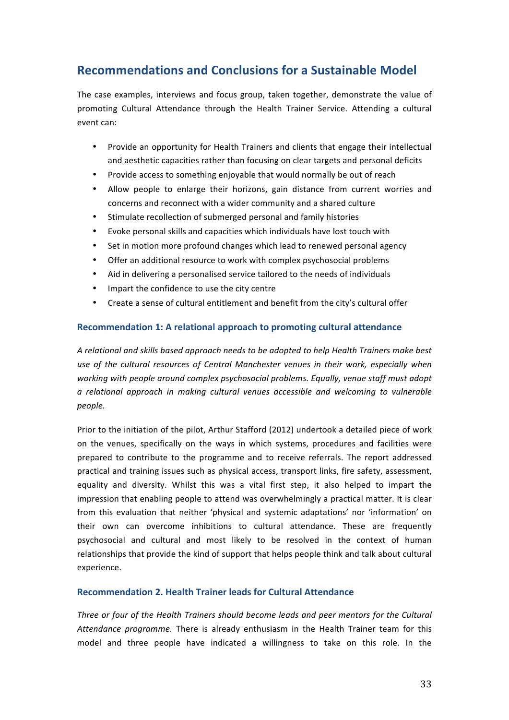# **Recommendations and Conclusions for a Sustainable Model**

The case examples, interviews and focus group, taken together, demonstrate the value of promoting Cultural Attendance through the Health Trainer Service. Attending a cultural event can:

- Provide an opportunity for Health Trainers and clients that engage their intellectual and aesthetic capacities rather than focusing on clear targets and personal deficits
- Provide access to something enjoyable that would normally be out of reach
- Allow people to enlarge their horizons, gain distance from current worries and concerns and reconnect with a wider community and a shared culture
- Stimulate recollection of submerged personal and family histories
- Evoke personal skills and capacities which individuals have lost touch with
- Set in motion more profound changes which lead to renewed personal agency
- Offer an additional resource to work with complex psychosocial problems
- Aid in delivering a personalised service tailored to the needs of individuals
- Impart the confidence to use the city centre
- Create a sense of cultural entitlement and benefit from the city's cultural offer

### **Recommendation 1: A relational approach to promoting cultural attendance**

A relational and skills based approach needs to be adopted to help Health Trainers make best use of the cultural resources of Central Manchester venues in their work, especially when *working* with people around complex psychosocial problems. Equally, venue staff must adopt *a relational approach in making cultural venues accessible and welcoming to vulnerable people.*

Prior to the initiation of the pilot, Arthur Stafford (2012) undertook a detailed piece of work on the venues, specifically on the ways in which systems, procedures and facilities were prepared to contribute to the programme and to receive referrals. The report addressed practical and training issues such as physical access, transport links, fire safety, assessment, equality and diversity. Whilst this was a vital first step, it also helped to impart the impression that enabling people to attend was overwhelmingly a practical matter. It is clear from this evaluation that neither 'physical and systemic adaptations' nor 'information' on their own can overcome inhibitions to cultural attendance. These are frequently psychosocial and cultural and most likely to be resolved in the context of human relationships that provide the kind of support that helps people think and talk about cultural experience. 

#### **Recommendation 2. Health Trainer leads for Cultural Attendance**

*Three or four of the Health Trainers should become leads and peer mentors for the Cultural* Attendance programme. There is already enthusiasm in the Health Trainer team for this model and three people have indicated a willingness to take on this role. In the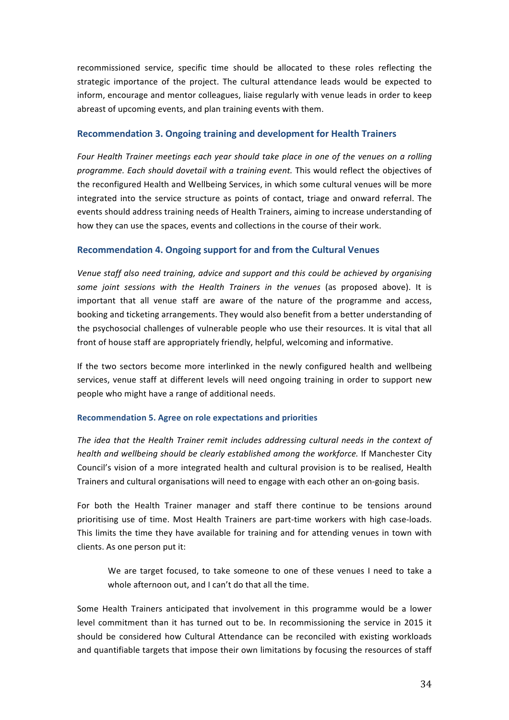recommissioned service, specific time should be allocated to these roles reflecting the strategic importance of the project. The cultural attendance leads would be expected to inform, encourage and mentor colleagues, liaise regularly with venue leads in order to keep abreast of upcoming events, and plan training events with them.

#### **Recommendation 3. Ongoing training and development for Health Trainers**

Four Health Trainer meetings each year should take place in one of the venues on a rolling *programme. Each should dovetail with a training event.* This would reflect the objectives of the reconfigured Health and Wellbeing Services, in which some cultural venues will be more integrated into the service structure as points of contact, triage and onward referral. The events should address training needs of Health Trainers, aiming to increase understanding of how they can use the spaces, events and collections in the course of their work.

### **Recommendation 4. Ongoing support for and from the Cultural Venues**

Venue staff also need training, advice and support and this could be achieved by organising some joint sessions with the Health Trainers in the venues (as proposed above). It is important that all venue staff are aware of the nature of the programme and access, booking and ticketing arrangements. They would also benefit from a better understanding of the psychosocial challenges of vulnerable people who use their resources. It is vital that all front of house staff are appropriately friendly, helpful, welcoming and informative.

If the two sectors become more interlinked in the newly configured health and wellbeing services, venue staff at different levels will need ongoing training in order to support new people who might have a range of additional needs.

#### **Recommendation 5. Agree on role expectations and priorities**

The idea that the Health Trainer remit includes addressing cultural needs in the context of *health and wellbeing should be clearly established among the workforce.* If Manchester City Council's vision of a more integrated health and cultural provision is to be realised. Health Trainers and cultural organisations will need to engage with each other an on-going basis.

For both the Health Trainer manager and staff there continue to be tensions around prioritising use of time. Most Health Trainers are part-time workers with high case-loads. This limits the time they have available for training and for attending venues in town with clients. As one person put it:

We are target focused, to take someone to one of these venues I need to take a whole afternoon out, and I can't do that all the time.

Some Health Trainers anticipated that involvement in this programme would be a lower level commitment than it has turned out to be. In recommissioning the service in 2015 it should be considered how Cultural Attendance can be reconciled with existing workloads and quantifiable targets that impose their own limitations by focusing the resources of staff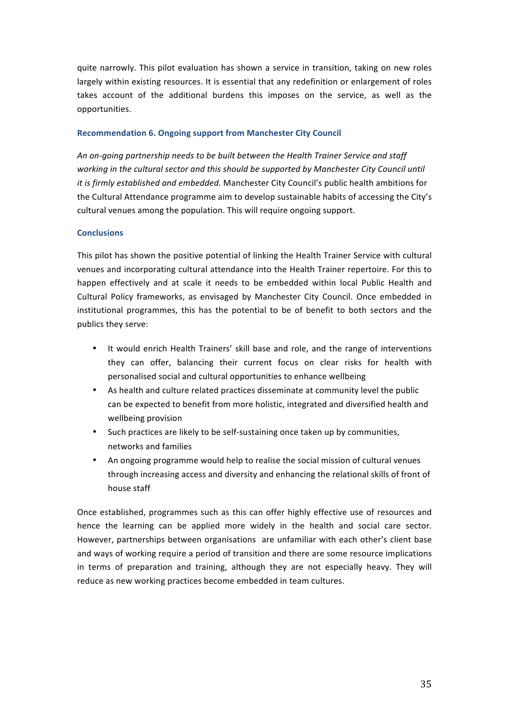quite narrowly. This pilot evaluation has shown a service in transition, taking on new roles largely within existing resources. It is essential that any redefinition or enlargement of roles takes account of the additional burdens this imposes on the service, as well as the opportunities.

#### **Recommendation 6. Ongoing support from Manchester City Council**

An on-going partnership needs to be built between the Health Trainer Service and staff working in the cultural sector and this should be supported by Manchester City Council until *it is firmly established and embedded.* Manchester City Council's public health ambitions for the Cultural Attendance programme aim to develop sustainable habits of accessing the City's cultural venues among the population. This will require ongoing support.

#### **Conclusions**

This pilot has shown the positive potential of linking the Health Trainer Service with cultural venues and incorporating cultural attendance into the Health Trainer repertoire. For this to happen effectively and at scale it needs to be embedded within local Public Health and Cultural Policy frameworks, as envisaged by Manchester City Council. Once embedded in institutional programmes, this has the potential to be of benefit to both sectors and the publics they serve:

- It would enrich Health Trainers' skill base and role, and the range of interventions they can offer, balancing their current focus on clear risks for health with personalised social and cultural opportunities to enhance wellbeing
- As health and culture related practices disseminate at community level the public can be expected to benefit from more holistic, integrated and diversified health and wellbeing provision
- Such practices are likely to be self-sustaining once taken up by communities, networks and families
- An ongoing programme would help to realise the social mission of cultural venues through increasing access and diversity and enhancing the relational skills of front of house staff

Once established, programmes such as this can offer highly effective use of resources and hence the learning can be applied more widely in the health and social care sector. However, partnerships between organisations are unfamiliar with each other's client base and ways of working require a period of transition and there are some resource implications in terms of preparation and training, although they are not especially heavy. They will reduce as new working practices become embedded in team cultures.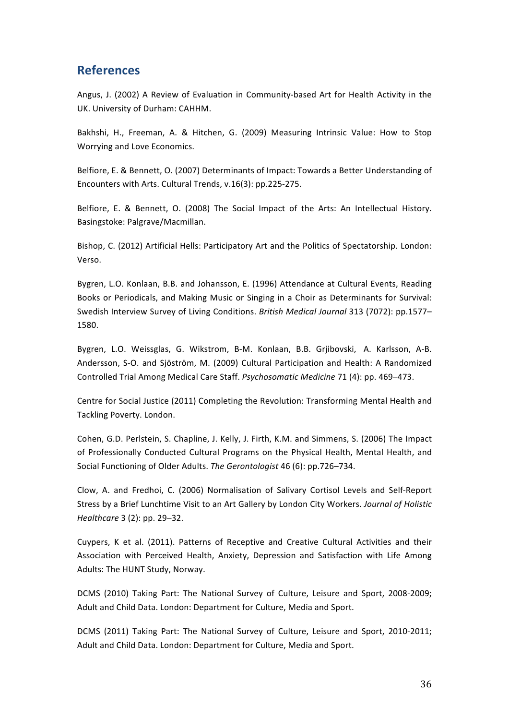# **References**

Angus, J. (2002) A Review of Evaluation in Community-based Art for Health Activity in the UK. University of Durham: CAHHM.

Bakhshi, H., Freeman, A. & Hitchen, G. (2009) Measuring Intrinsic Value: How to Stop Worrying and Love Economics.

Belfiore, E. & Bennett, O. (2007) Determinants of Impact: Towards a Better Understanding of Encounters with Arts. Cultural Trends, v.16(3): pp.225-275.

Belfiore, E. & Bennett, O. (2008) The Social Impact of the Arts: An Intellectual History. Basingstoke: Palgrave/Macmillan.

Bishop, C. (2012) Artificial Hells: Participatory Art and the Politics of Spectatorship. London: Verso.

Bygren, L.O. Konlaan, B.B. and Johansson, E. (1996) Attendance at Cultural Events, Reading Books or Periodicals, and Making Music or Singing in a Choir as Determinants for Survival: Swedish Interview Survey of Living Conditions. British Medical Journal 313 (7072): pp.1577-1580.

Bygren, L.O. Weissglas, G. Wikstrom, B-M. Konlaan, B.B. Grjibovski, A. Karlsson, A-B. Andersson, S-O. and Sjöström, M. (2009) Cultural Participation and Health: A Randomized Controlled Trial Among Medical Care Staff. *Psychosomatic Medicine* 71 (4): pp. 469-473.

Centre for Social Justice (2011) Completing the Revolution: Transforming Mental Health and Tackling Poverty. London.

Cohen, G.D. Perlstein, S. Chapline, J. Kelly, J. Firth, K.M. and Simmens, S. (2006) The Impact of Professionally Conducted Cultural Programs on the Physical Health, Mental Health, and Social Functioning of Older Adults. The Gerontologist 46 (6): pp.726-734.

Clow, A. and Fredhoi, C. (2006) Normalisation of Salivary Cortisol Levels and Self-Report Stress by a Brief Lunchtime Visit to an Art Gallery by London City Workers. *Journal of Holistic Healthcare* 3 (2): pp. 29–32.

Cuypers, K et al. (2011). Patterns of Receptive and Creative Cultural Activities and their Association with Perceived Health, Anxiety, Depression and Satisfaction with Life Among Adults: The HUNT Study, Norway.

DCMS (2010) Taking Part: The National Survey of Culture, Leisure and Sport, 2008-2009; Adult and Child Data. London: Department for Culture, Media and Sport.

DCMS (2011) Taking Part: The National Survey of Culture, Leisure and Sport, 2010-2011; Adult and Child Data. London: Department for Culture, Media and Sport.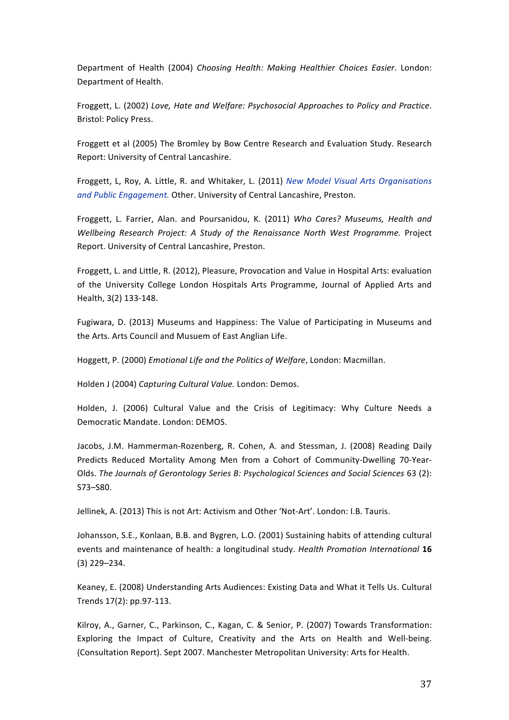Department of Health (2004) *Choosing Health: Making Healthier Choices Easier*. London: Department of Health.

Froggett, L. (2002) Love, Hate and Welfare: Psychosocial Approaches to Policy and Practice. Bristol: Policy Press.

Froggett et al (2005) The Bromley by Bow Centre Research and Evaluation Study. Research Report: University of Central Lancashire.

Froggett, L, Roy, A. Little, R. and Whitaker, L. (2011) *New Model Visual Arts Organisations* and Public Engagement. Other. University of Central Lancashire, Preston.

Froggett, L. Farrier, Alan. and Poursanidou, K. (2011) Who Cares? Museums, Health and *Wellbeing Research Project: A Study of the Renaissance North West Programme.* Project Report. University of Central Lancashire, Preston.

Froggett, L. and Little, R. (2012), Pleasure, Provocation and Value in Hospital Arts: evaluation of the University College London Hospitals Arts Programme, Journal of Applied Arts and Health, 3(2) 133-148.

Fugiwara, D. (2013) Museums and Happiness: The Value of Participating in Museums and the Arts. Arts Council and Musuem of East Anglian Life.

Hoggett, P. (2000) *Emotional Life and the Politics of Welfare*, London: Macmillan.

Holden J (2004) *Capturing Cultural Value.* London: Demos.

Holden, J. (2006) Cultural Value and the Crisis of Legitimacy: Why Culture Needs a Democratic Mandate. London: DEMOS.

Jacobs, J.M. Hammerman-Rozenberg, R. Cohen, A. and Stessman, J. (2008) Reading Daily Predicts Reduced Mortality Among Men from a Cohort of Community-Dwelling 70-Year-Olds. The Journals of Gerontology Series B: Psychological Sciences and Social Sciences 63 (2): S73–S80.

Jellinek, A. (2013) This is not Art: Activism and Other 'Not-Art'. London: I.B. Tauris.

Johansson, S.E., Konlaan, B.B. and Bygren, L.O. (2001) Sustaining habits of attending cultural events and maintenance of health: a longitudinal study. *Health Promotion International* 16 (3) 229–234.

Keaney, E. (2008) Understanding Arts Audiences: Existing Data and What it Tells Us. Cultural Trends 17(2): pp.97-113.

Kilroy, A., Garner, C., Parkinson, C., Kagan, C. & Senior, P. (2007) Towards Transformation: Exploring the Impact of Culture, Creativity and the Arts on Health and Well-being. (Consultation Report). Sept 2007. Manchester Metropolitan University: Arts for Health.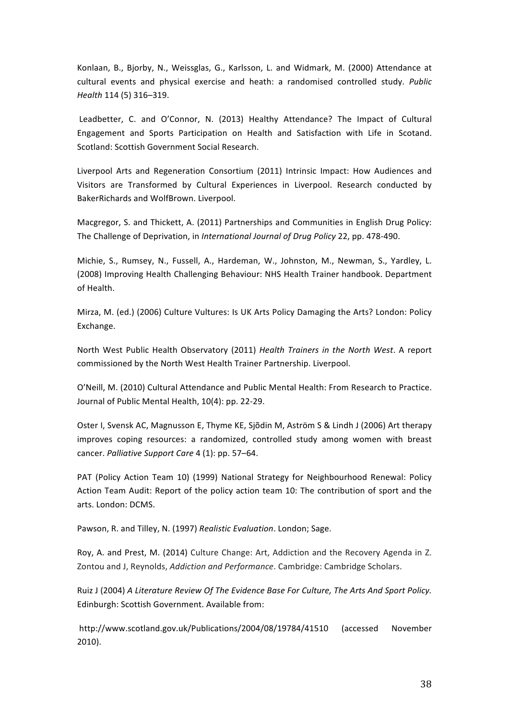Konlaan, B., Bjorby, N., Weissglas, G., Karlsson, L. and Widmark, M. (2000) Attendance at cultural events and physical exercise and heath: a randomised controlled study. Public *Health* 114 (5) 316–319.

Leadbetter, C. and O'Connor, N. (2013) Healthy Attendance? The Impact of Cultural Engagement and Sports Participation on Health and Satisfaction with Life in Scotand. Scotland: Scottish Government Social Research.

Liverpool Arts and Regeneration Consortium (2011) Intrinsic Impact: How Audiences and Visitors are Transformed by Cultural Experiences in Liverpool. Research conducted by BakerRichards and WolfBrown. Liverpool.

Macgregor, S. and Thickett, A. (2011) Partnerships and Communities in English Drug Policy: The Challenge of Deprivation, in *International Journal of Drug Policy* 22, pp. 478-490.

Michie, S., Rumsey, N., Fussell, A., Hardeman, W., Johnston, M., Newman, S., Yardley, L. (2008) Improving Health Challenging Behaviour: NHS Health Trainer handbook. Department of Health.

Mirza, M. (ed.) (2006) Culture Vultures: Is UK Arts Policy Damaging the Arts? London: Policy Exchange.

North West Public Health Observatory (2011) *Health Trainers in the North West*. A report commissioned by the North West Health Trainer Partnership. Liverpool.

O'Neill, M. (2010) Cultural Attendance and Public Mental Health: From Research to Practice. Journal of Public Mental Health, 10(4): pp. 22-29.

Oster I, Svensk AC, Magnusson E, Thyme KE, Sjõdin M, Aström S & Lindh J (2006) Art therapy improves coping resources: a randomized, controlled study among women with breast cancer. *Palliative Support Care* 4 (1): pp. 57-64.

PAT (Policy Action Team 10) (1999) National Strategy for Neighbourhood Renewal: Policy Action Team Audit: Report of the policy action team 10: The contribution of sport and the arts. London: DCMS.

Pawson, R. and Tilley, N. (1997) Realistic Evaluation. London; Sage.

Roy, A. and Prest, M. (2014) Culture Change: Art, Addiction and the Recovery Agenda in Z. Zontou and J. Reynolds, *Addiction and Performance*. Cambridge: Cambridge Scholars.

Ruiz J (2004) A Literature Review Of The Evidence Base For Culture, The Arts And Sport Policy. Edinburgh: Scottish Government. Available from:

http://www.scotland.gov.uk/Publications/2004/08/19784/41510 (accessed November 2010).